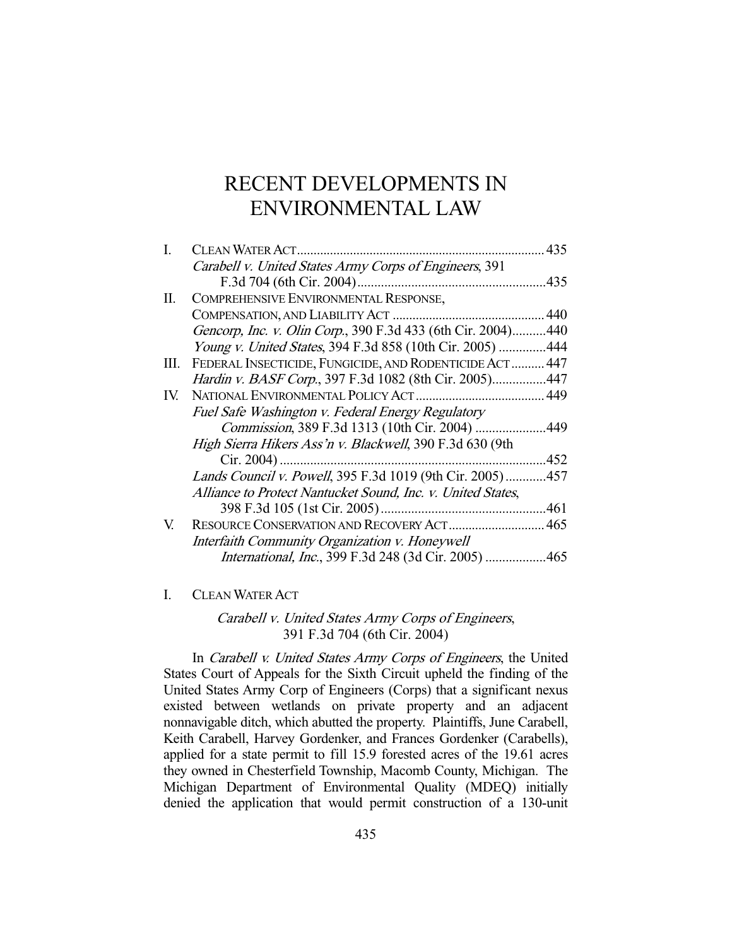# RECENT DEVELOPMENTS IN ENVIRONMENTAL LAW

| L   |                                                              | 435  |
|-----|--------------------------------------------------------------|------|
|     | Carabell v. United States Army Corps of Engineers, 391       |      |
|     |                                                              |      |
| П.  | COMPREHENSIVE ENVIRONMENTAL RESPONSE,                        |      |
|     |                                                              | 440  |
|     | Gencorp, Inc. v. Olin Corp., 390 F.3d 433 (6th Cir. 2004)    | .440 |
|     | <i>Young v. United States, 394 F.3d 858 (10th Cir. 2005)</i> | .444 |
| Ш.  | FEDERAL INSECTICIDE, FUNGICIDE, AND RODENTICIDE ACT          | 447  |
|     | Hardin v. BASF Corp., 397 F.3d 1082 (8th Cir. 2005)          | .447 |
| IV. | NATIONAL ENVIRONMENTAL POLICY ACT<br>449                     |      |
|     | Fuel Safe Washington v. Federal Energy Regulatory            |      |
|     | Commission, 389 F.3d 1313 (10th Cir. 2004)                   | .449 |
|     | High Sierra Hikers Ass'n v. Blackwell, 390 F.3d 630 (9th     |      |
|     | $Cir. 2004$ )                                                | .452 |
|     | Lands Council v. Powell, 395 F.3d 1019 (9th Cir. 2005)457    |      |
|     | Alliance to Protect Nantucket Sound, Inc. v. United States,  |      |
|     | 398 F.3d 105 (1st Cir. 2005)                                 | 461  |
| V.  | RESOURCE CONSERVATION AND RECOVERY ACT 465                   |      |
|     | Interfaith Community Organization v. Honeywell               |      |
|     | International, Inc., 399 F.3d 248 (3d Cir. 2005) 465         |      |
|     |                                                              |      |

## I. CLEAN WATER ACT

Carabell v. United States Army Corps of Engineers, 391 F.3d 704 (6th Cir. 2004)

In *Carabell v. United States Army Corps of Engineers*, the United States Court of Appeals for the Sixth Circuit upheld the finding of the United States Army Corp of Engineers (Corps) that a significant nexus existed between wetlands on private property and an adjacent nonnavigable ditch, which abutted the property. Plaintiffs, June Carabell, Keith Carabell, Harvey Gordenker, and Frances Gordenker (Carabells), applied for a state permit to fill 15.9 forested acres of the 19.61 acres they owned in Chesterfield Township, Macomb County, Michigan. The Michigan Department of Environmental Quality (MDEQ) initially denied the application that would permit construction of a 130-unit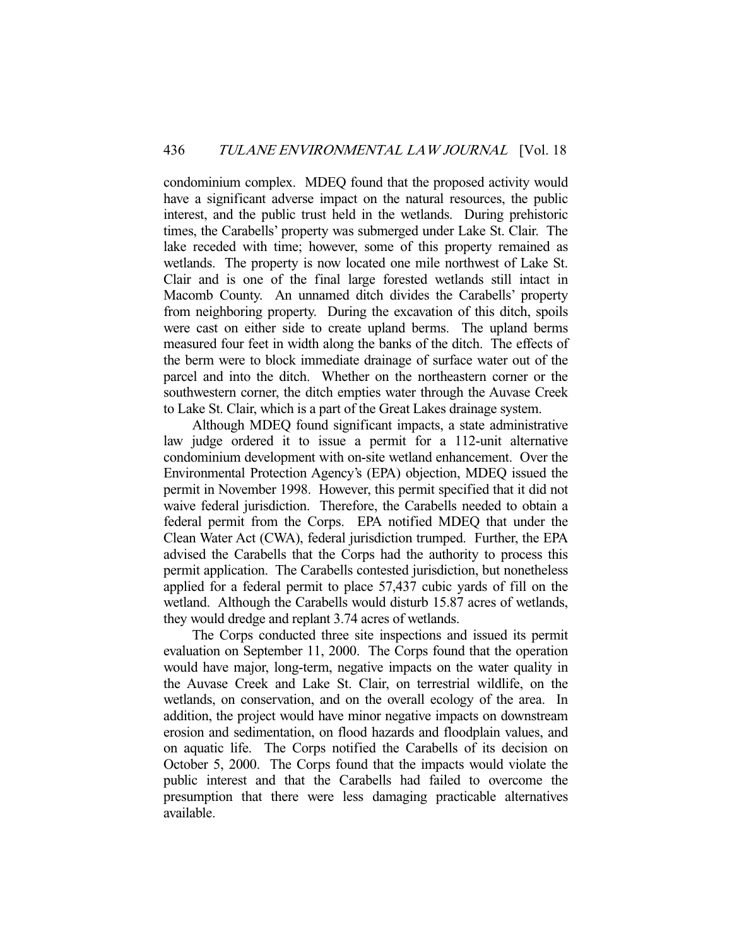condominium complex. MDEQ found that the proposed activity would have a significant adverse impact on the natural resources, the public interest, and the public trust held in the wetlands. During prehistoric times, the Carabells' property was submerged under Lake St. Clair. The lake receded with time; however, some of this property remained as wetlands. The property is now located one mile northwest of Lake St. Clair and is one of the final large forested wetlands still intact in Macomb County. An unnamed ditch divides the Carabells' property from neighboring property. During the excavation of this ditch, spoils were cast on either side to create upland berms. The upland berms measured four feet in width along the banks of the ditch. The effects of the berm were to block immediate drainage of surface water out of the parcel and into the ditch. Whether on the northeastern corner or the southwestern corner, the ditch empties water through the Auvase Creek to Lake St. Clair, which is a part of the Great Lakes drainage system.

 Although MDEQ found significant impacts, a state administrative law judge ordered it to issue a permit for a 112-unit alternative condominium development with on-site wetland enhancement. Over the Environmental Protection Agency's (EPA) objection, MDEQ issued the permit in November 1998. However, this permit specified that it did not waive federal jurisdiction. Therefore, the Carabells needed to obtain a federal permit from the Corps. EPA notified MDEQ that under the Clean Water Act (CWA), federal jurisdiction trumped. Further, the EPA advised the Carabells that the Corps had the authority to process this permit application. The Carabells contested jurisdiction, but nonetheless applied for a federal permit to place 57,437 cubic yards of fill on the wetland. Although the Carabells would disturb 15.87 acres of wetlands, they would dredge and replant 3.74 acres of wetlands.

 The Corps conducted three site inspections and issued its permit evaluation on September 11, 2000. The Corps found that the operation would have major, long-term, negative impacts on the water quality in the Auvase Creek and Lake St. Clair, on terrestrial wildlife, on the wetlands, on conservation, and on the overall ecology of the area. In addition, the project would have minor negative impacts on downstream erosion and sedimentation, on flood hazards and floodplain values, and on aquatic life. The Corps notified the Carabells of its decision on October 5, 2000. The Corps found that the impacts would violate the public interest and that the Carabells had failed to overcome the presumption that there were less damaging practicable alternatives available.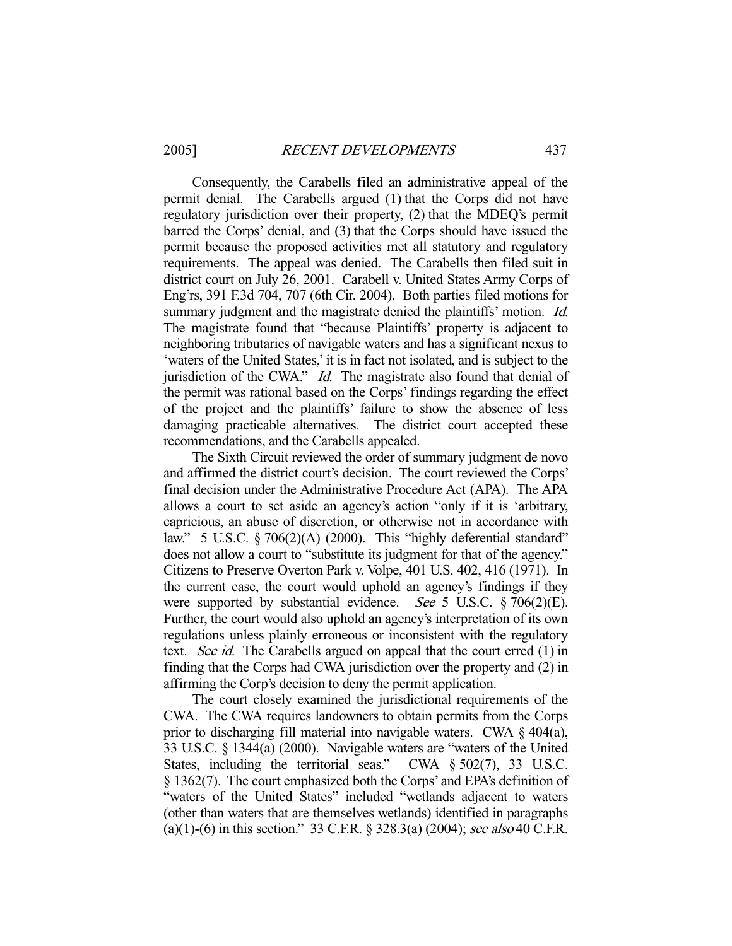Consequently, the Carabells filed an administrative appeal of the permit denial. The Carabells argued (1) that the Corps did not have regulatory jurisdiction over their property, (2) that the MDEQ's permit barred the Corps' denial, and (3) that the Corps should have issued the permit because the proposed activities met all statutory and regulatory requirements. The appeal was denied. The Carabells then filed suit in district court on July 26, 2001. Carabell v. United States Army Corps of Eng'rs, 391 F.3d 704, 707 (6th Cir. 2004). Both parties filed motions for summary judgment and the magistrate denied the plaintiffs' motion. *Id.* The magistrate found that "because Plaintiffs' property is adjacent to neighboring tributaries of navigable waters and has a significant nexus to 'waters of the United States,' it is in fact not isolated, and is subject to the jurisdiction of the CWA." *Id.* The magistrate also found that denial of the permit was rational based on the Corps' findings regarding the effect of the project and the plaintiffs' failure to show the absence of less damaging practicable alternatives. The district court accepted these recommendations, and the Carabells appealed.

 The Sixth Circuit reviewed the order of summary judgment de novo and affirmed the district court's decision. The court reviewed the Corps' final decision under the Administrative Procedure Act (APA). The APA allows a court to set aside an agency's action "only if it is 'arbitrary, capricious, an abuse of discretion, or otherwise not in accordance with law." 5 U.S.C. § 706(2)(A) (2000). This "highly deferential standard" does not allow a court to "substitute its judgment for that of the agency." Citizens to Preserve Overton Park v. Volpe, 401 U.S. 402, 416 (1971). In the current case, the court would uphold an agency's findings if they were supported by substantial evidence. See 5 U.S.C. § 706(2)(E). Further, the court would also uphold an agency's interpretation of its own regulations unless plainly erroneous or inconsistent with the regulatory text. See id. The Carabells argued on appeal that the court erred (1) in finding that the Corps had CWA jurisdiction over the property and (2) in affirming the Corp's decision to deny the permit application.

 The court closely examined the jurisdictional requirements of the CWA. The CWA requires landowners to obtain permits from the Corps prior to discharging fill material into navigable waters. CWA § 404(a), 33 U.S.C. § 1344(a) (2000). Navigable waters are "waters of the United States, including the territorial seas." CWA § 502(7), 33 U.S.C. § 1362(7). The court emphasized both the Corps' and EPA's definition of "waters of the United States" included "wetlands adjacent to waters (other than waters that are themselves wetlands) identified in paragraphs (a)(1)-(6) in this section." 33 C.F.R.  $\S$  328.3(a) (2004); see also 40 C.F.R.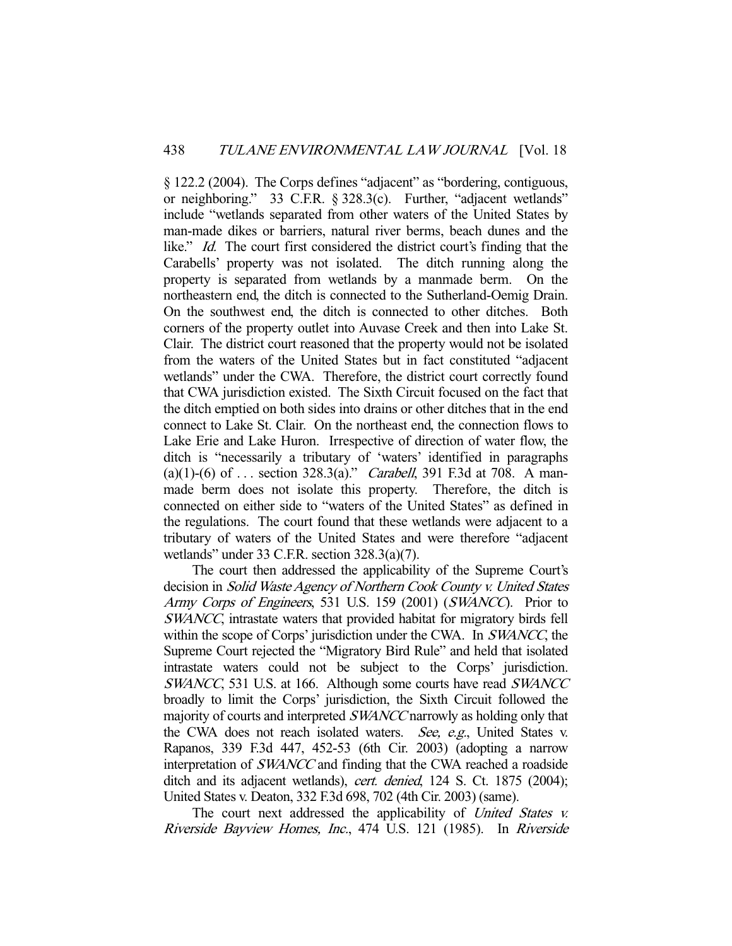§ 122.2 (2004). The Corps defines "adjacent" as "bordering, contiguous, or neighboring." 33 C.F.R. § 328.3(c). Further, "adjacent wetlands" include "wetlands separated from other waters of the United States by man-made dikes or barriers, natural river berms, beach dunes and the like." *Id.* The court first considered the district court's finding that the Carabells' property was not isolated. The ditch running along the property is separated from wetlands by a manmade berm. On the northeastern end, the ditch is connected to the Sutherland-Oemig Drain. On the southwest end, the ditch is connected to other ditches. Both corners of the property outlet into Auvase Creek and then into Lake St. Clair. The district court reasoned that the property would not be isolated from the waters of the United States but in fact constituted "adjacent wetlands" under the CWA. Therefore, the district court correctly found that CWA jurisdiction existed. The Sixth Circuit focused on the fact that the ditch emptied on both sides into drains or other ditches that in the end connect to Lake St. Clair. On the northeast end, the connection flows to Lake Erie and Lake Huron. Irrespective of direction of water flow, the ditch is "necessarily a tributary of 'waters' identified in paragraphs (a)(1)-(6) of ... section 328.3(a)." *Carabell*, 391 F.3d at 708. A manmade berm does not isolate this property. Therefore, the ditch is connected on either side to "waters of the United States" as defined in the regulations. The court found that these wetlands were adjacent to a tributary of waters of the United States and were therefore "adjacent wetlands" under 33 C.F.R. section 328.3(a)(7).

 The court then addressed the applicability of the Supreme Court's decision in Solid Waste Agency of Northern Cook County v. United States Army Corps of Engineers, 531 U.S. 159 (2001) (SWANCC). Prior to SWANCC, intrastate waters that provided habitat for migratory birds fell within the scope of Corps' jurisdiction under the CWA. In SWANCC, the Supreme Court rejected the "Migratory Bird Rule" and held that isolated intrastate waters could not be subject to the Corps' jurisdiction. SWANCC, 531 U.S. at 166. Although some courts have read SWANCC broadly to limit the Corps' jurisdiction, the Sixth Circuit followed the majority of courts and interpreted SWANCC narrowly as holding only that the CWA does not reach isolated waters. See, e.g., United States v. Rapanos, 339 F.3d 447, 452-53 (6th Cir. 2003) (adopting a narrow interpretation of SWANCC and finding that the CWA reached a roadside ditch and its adjacent wetlands), cert. denied, 124 S. Ct. 1875 (2004); United States v. Deaton, 332 F.3d 698, 702 (4th Cir. 2003) (same).

The court next addressed the applicability of United States v. Riverside Bayview Homes, Inc., 474 U.S. 121 (1985). In Riverside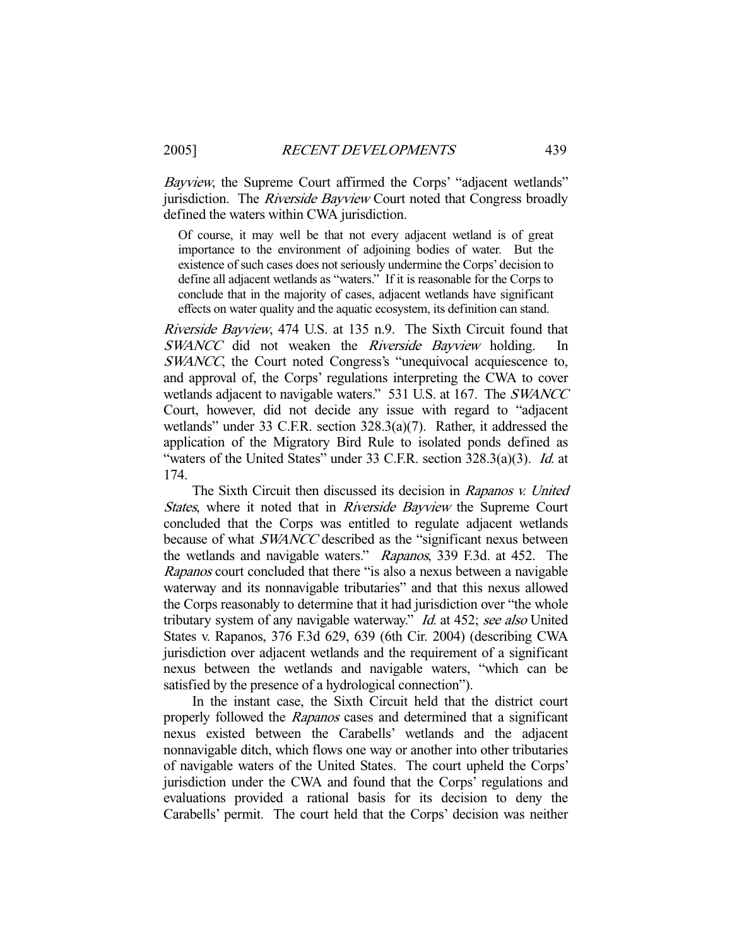Bayview, the Supreme Court affirmed the Corps' "adjacent wetlands" jurisdiction. The *Riverside Bayview* Court noted that Congress broadly defined the waters within CWA jurisdiction.

Of course, it may well be that not every adjacent wetland is of great importance to the environment of adjoining bodies of water. But the existence of such cases does not seriously undermine the Corps' decision to define all adjacent wetlands as "waters." If it is reasonable for the Corps to conclude that in the majority of cases, adjacent wetlands have significant effects on water quality and the aquatic ecosystem, its definition can stand.

Riverside Bayview, 474 U.S. at 135 n.9. The Sixth Circuit found that SWANCC did not weaken the Riverside Bayview holding. SWANCC, the Court noted Congress's "unequivocal acquiescence to, and approval of, the Corps' regulations interpreting the CWA to cover wetlands adjacent to navigable waters." 531 U.S. at 167. The SWANCC Court, however, did not decide any issue with regard to "adjacent wetlands" under 33 C.F.R. section 328.3(a)(7). Rather, it addressed the application of the Migratory Bird Rule to isolated ponds defined as "waters of the United States" under 33 C.F.R. section 328.3(a)(3). Id. at 174.

The Sixth Circuit then discussed its decision in Rapanos v. United States, where it noted that in Riverside Bayview the Supreme Court concluded that the Corps was entitled to regulate adjacent wetlands because of what SWANCC described as the "significant nexus between the wetlands and navigable waters." Rapanos, 339 F.3d. at 452. The Rapanos court concluded that there "is also a nexus between a navigable waterway and its nonnavigable tributaries" and that this nexus allowed the Corps reasonably to determine that it had jurisdiction over "the whole tributary system of any navigable waterway." *Id.* at 452; see also United States v. Rapanos, 376 F.3d 629, 639 (6th Cir. 2004) (describing CWA jurisdiction over adjacent wetlands and the requirement of a significant nexus between the wetlands and navigable waters, "which can be satisfied by the presence of a hydrological connection").

 In the instant case, the Sixth Circuit held that the district court properly followed the Rapanos cases and determined that a significant nexus existed between the Carabells' wetlands and the adjacent nonnavigable ditch, which flows one way or another into other tributaries of navigable waters of the United States. The court upheld the Corps' jurisdiction under the CWA and found that the Corps' regulations and evaluations provided a rational basis for its decision to deny the Carabells' permit. The court held that the Corps' decision was neither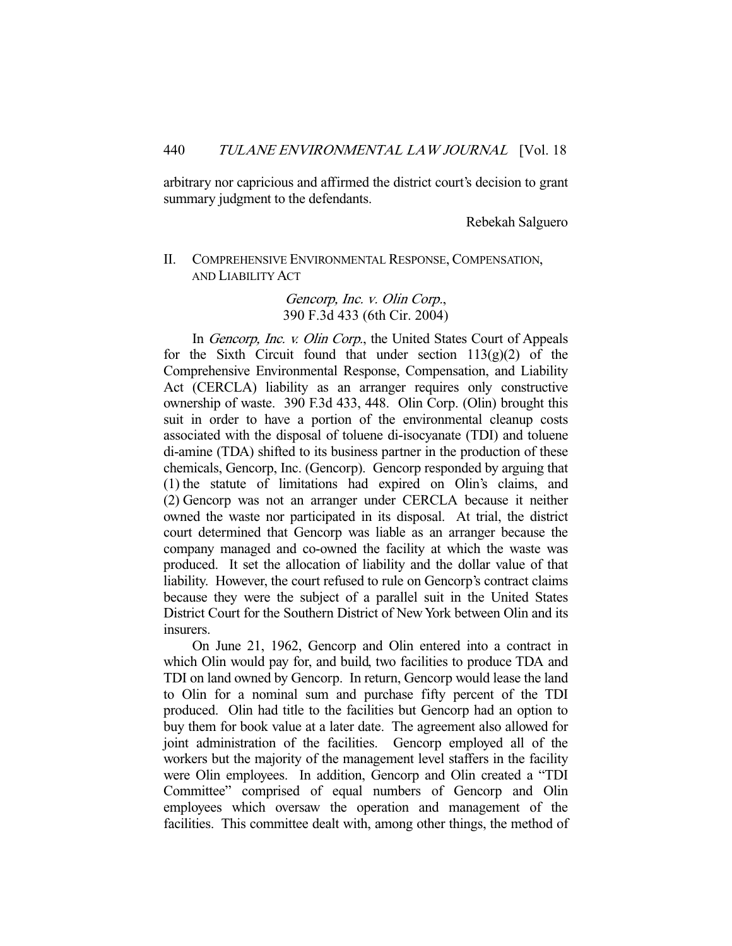arbitrary nor capricious and affirmed the district court's decision to grant summary judgment to the defendants.

Rebekah Salguero

# II. COMPREHENSIVE ENVIRONMENTAL RESPONSE, COMPENSATION, AND LIABILITY ACT

Gencorp, Inc. v. Olin Corp., 390 F.3d 433 (6th Cir. 2004)

 In Gencorp, Inc. v. Olin Corp., the United States Court of Appeals for the Sixth Circuit found that under section  $113(g)(2)$  of the Comprehensive Environmental Response, Compensation, and Liability Act (CERCLA) liability as an arranger requires only constructive ownership of waste. 390 F.3d 433, 448. Olin Corp. (Olin) brought this suit in order to have a portion of the environmental cleanup costs associated with the disposal of toluene di-isocyanate (TDI) and toluene di-amine (TDA) shifted to its business partner in the production of these chemicals, Gencorp, Inc. (Gencorp). Gencorp responded by arguing that (1) the statute of limitations had expired on Olin's claims, and (2) Gencorp was not an arranger under CERCLA because it neither owned the waste nor participated in its disposal. At trial, the district court determined that Gencorp was liable as an arranger because the company managed and co-owned the facility at which the waste was produced. It set the allocation of liability and the dollar value of that liability. However, the court refused to rule on Gencorp's contract claims because they were the subject of a parallel suit in the United States District Court for the Southern District of New York between Olin and its insurers.

 On June 21, 1962, Gencorp and Olin entered into a contract in which Olin would pay for, and build, two facilities to produce TDA and TDI on land owned by Gencorp. In return, Gencorp would lease the land to Olin for a nominal sum and purchase fifty percent of the TDI produced. Olin had title to the facilities but Gencorp had an option to buy them for book value at a later date. The agreement also allowed for joint administration of the facilities. Gencorp employed all of the workers but the majority of the management level staffers in the facility were Olin employees. In addition, Gencorp and Olin created a "TDI Committee" comprised of equal numbers of Gencorp and Olin employees which oversaw the operation and management of the facilities. This committee dealt with, among other things, the method of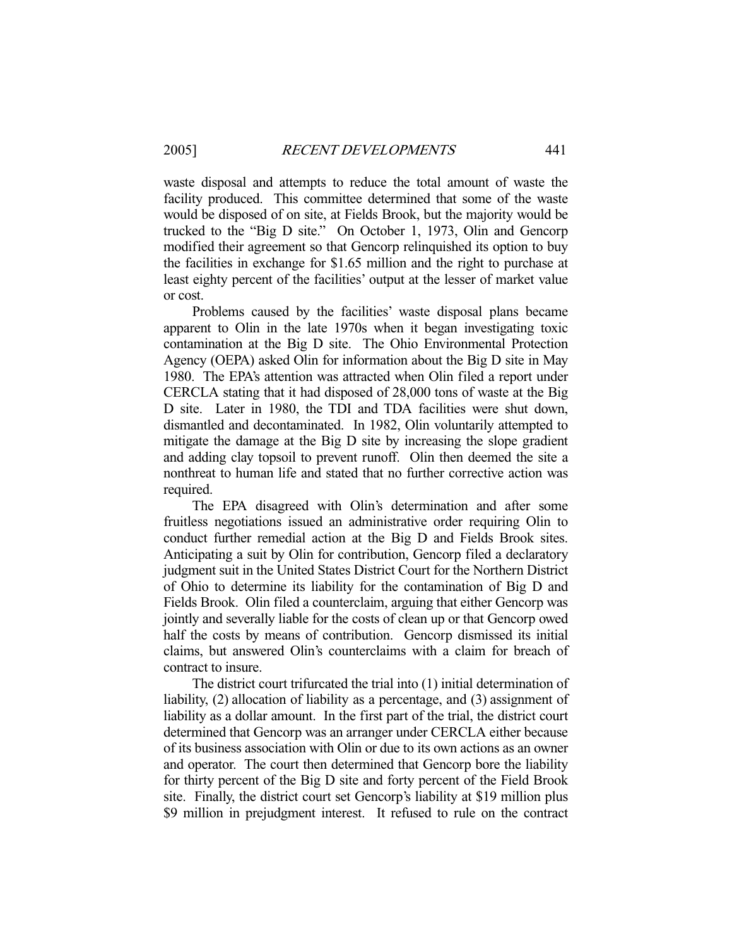waste disposal and attempts to reduce the total amount of waste the facility produced. This committee determined that some of the waste would be disposed of on site, at Fields Brook, but the majority would be trucked to the "Big D site." On October 1, 1973, Olin and Gencorp modified their agreement so that Gencorp relinquished its option to buy the facilities in exchange for \$1.65 million and the right to purchase at least eighty percent of the facilities' output at the lesser of market value or cost.

 Problems caused by the facilities' waste disposal plans became apparent to Olin in the late 1970s when it began investigating toxic contamination at the Big D site. The Ohio Environmental Protection Agency (OEPA) asked Olin for information about the Big D site in May 1980. The EPA's attention was attracted when Olin filed a report under CERCLA stating that it had disposed of 28,000 tons of waste at the Big D site. Later in 1980, the TDI and TDA facilities were shut down, dismantled and decontaminated. In 1982, Olin voluntarily attempted to mitigate the damage at the Big D site by increasing the slope gradient and adding clay topsoil to prevent runoff. Olin then deemed the site a nonthreat to human life and stated that no further corrective action was required.

 The EPA disagreed with Olin's determination and after some fruitless negotiations issued an administrative order requiring Olin to conduct further remedial action at the Big D and Fields Brook sites. Anticipating a suit by Olin for contribution, Gencorp filed a declaratory judgment suit in the United States District Court for the Northern District of Ohio to determine its liability for the contamination of Big D and Fields Brook. Olin filed a counterclaim, arguing that either Gencorp was jointly and severally liable for the costs of clean up or that Gencorp owed half the costs by means of contribution. Gencorp dismissed its initial claims, but answered Olin's counterclaims with a claim for breach of contract to insure.

 The district court trifurcated the trial into (1) initial determination of liability, (2) allocation of liability as a percentage, and (3) assignment of liability as a dollar amount. In the first part of the trial, the district court determined that Gencorp was an arranger under CERCLA either because of its business association with Olin or due to its own actions as an owner and operator. The court then determined that Gencorp bore the liability for thirty percent of the Big D site and forty percent of the Field Brook site. Finally, the district court set Gencorp's liability at \$19 million plus \$9 million in prejudgment interest. It refused to rule on the contract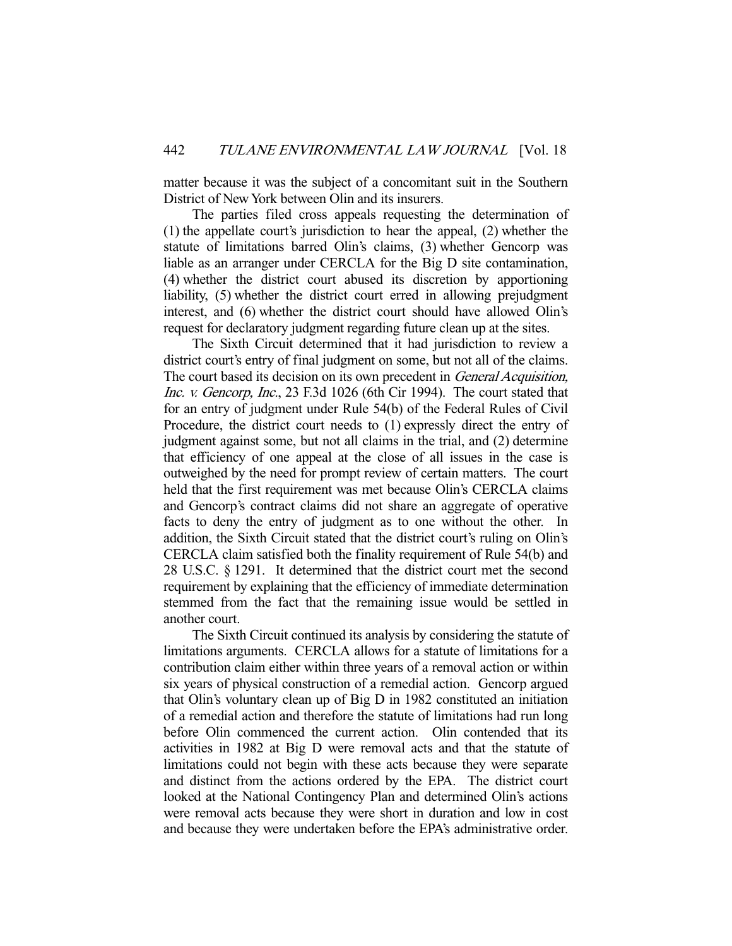matter because it was the subject of a concomitant suit in the Southern District of New York between Olin and its insurers.

 The parties filed cross appeals requesting the determination of (1) the appellate court's jurisdiction to hear the appeal, (2) whether the statute of limitations barred Olin's claims, (3) whether Gencorp was liable as an arranger under CERCLA for the Big D site contamination, (4) whether the district court abused its discretion by apportioning liability, (5) whether the district court erred in allowing prejudgment interest, and (6) whether the district court should have allowed Olin's request for declaratory judgment regarding future clean up at the sites.

 The Sixth Circuit determined that it had jurisdiction to review a district court's entry of final judgment on some, but not all of the claims. The court based its decision on its own precedent in General Acquisition, Inc. v. Gencorp, Inc., 23 F.3d 1026 (6th Cir 1994). The court stated that for an entry of judgment under Rule 54(b) of the Federal Rules of Civil Procedure, the district court needs to (1) expressly direct the entry of judgment against some, but not all claims in the trial, and (2) determine that efficiency of one appeal at the close of all issues in the case is outweighed by the need for prompt review of certain matters. The court held that the first requirement was met because Olin's CERCLA claims and Gencorp's contract claims did not share an aggregate of operative facts to deny the entry of judgment as to one without the other. In addition, the Sixth Circuit stated that the district court's ruling on Olin's CERCLA claim satisfied both the finality requirement of Rule 54(b) and 28 U.S.C. § 1291. It determined that the district court met the second requirement by explaining that the efficiency of immediate determination stemmed from the fact that the remaining issue would be settled in another court.

 The Sixth Circuit continued its analysis by considering the statute of limitations arguments. CERCLA allows for a statute of limitations for a contribution claim either within three years of a removal action or within six years of physical construction of a remedial action. Gencorp argued that Olin's voluntary clean up of Big D in 1982 constituted an initiation of a remedial action and therefore the statute of limitations had run long before Olin commenced the current action. Olin contended that its activities in 1982 at Big D were removal acts and that the statute of limitations could not begin with these acts because they were separate and distinct from the actions ordered by the EPA. The district court looked at the National Contingency Plan and determined Olin's actions were removal acts because they were short in duration and low in cost and because they were undertaken before the EPA's administrative order.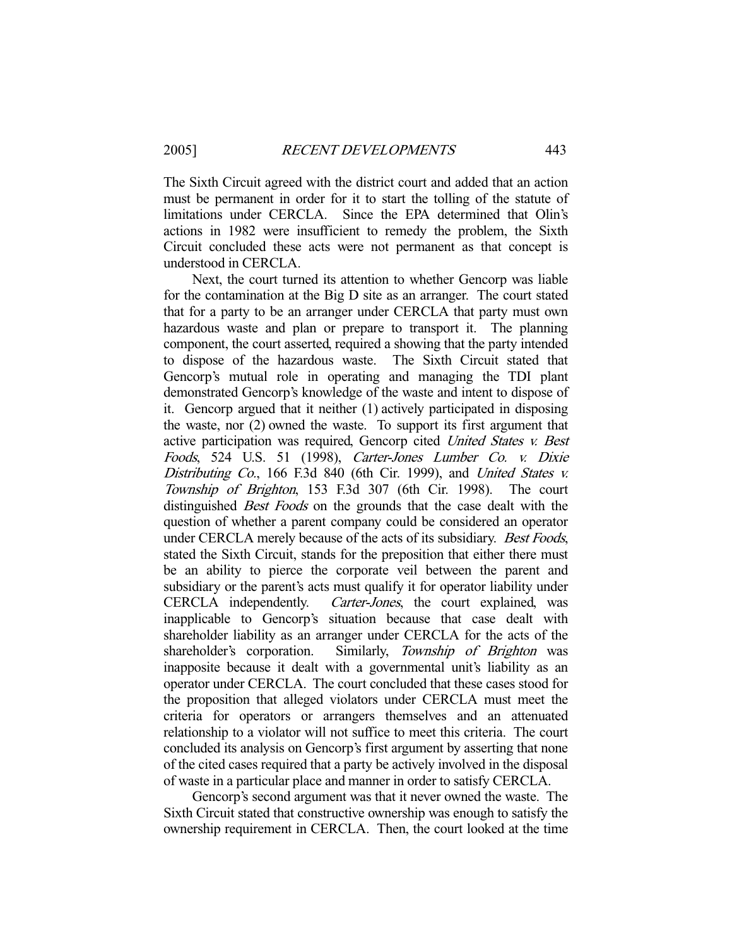The Sixth Circuit agreed with the district court and added that an action must be permanent in order for it to start the tolling of the statute of limitations under CERCLA. Since the EPA determined that Olin's actions in 1982 were insufficient to remedy the problem, the Sixth Circuit concluded these acts were not permanent as that concept is understood in CERCLA.

 Next, the court turned its attention to whether Gencorp was liable for the contamination at the Big D site as an arranger. The court stated that for a party to be an arranger under CERCLA that party must own hazardous waste and plan or prepare to transport it. The planning component, the court asserted, required a showing that the party intended to dispose of the hazardous waste. The Sixth Circuit stated that Gencorp's mutual role in operating and managing the TDI plant demonstrated Gencorp's knowledge of the waste and intent to dispose of it. Gencorp argued that it neither (1) actively participated in disposing the waste, nor (2) owned the waste. To support its first argument that active participation was required, Gencorp cited United States v. Best Foods, 524 U.S. 51 (1998), Carter-Jones Lumber Co. v. Dixie Distributing Co., 166 F.3d 840 (6th Cir. 1999), and United States v. Township of Brighton, 153 F.3d 307 (6th Cir. 1998). The court distinguished *Best Foods* on the grounds that the case dealt with the question of whether a parent company could be considered an operator under CERCLA merely because of the acts of its subsidiary. Best Foods, stated the Sixth Circuit, stands for the preposition that either there must be an ability to pierce the corporate veil between the parent and subsidiary or the parent's acts must qualify it for operator liability under CERCLA independently. Carter-Jones, the court explained, was inapplicable to Gencorp's situation because that case dealt with shareholder liability as an arranger under CERCLA for the acts of the shareholder's corporation. Similarly, Township of Brighton was inapposite because it dealt with a governmental unit's liability as an operator under CERCLA. The court concluded that these cases stood for the proposition that alleged violators under CERCLA must meet the criteria for operators or arrangers themselves and an attenuated relationship to a violator will not suffice to meet this criteria. The court concluded its analysis on Gencorp's first argument by asserting that none of the cited cases required that a party be actively involved in the disposal of waste in a particular place and manner in order to satisfy CERCLA.

 Gencorp's second argument was that it never owned the waste. The Sixth Circuit stated that constructive ownership was enough to satisfy the ownership requirement in CERCLA. Then, the court looked at the time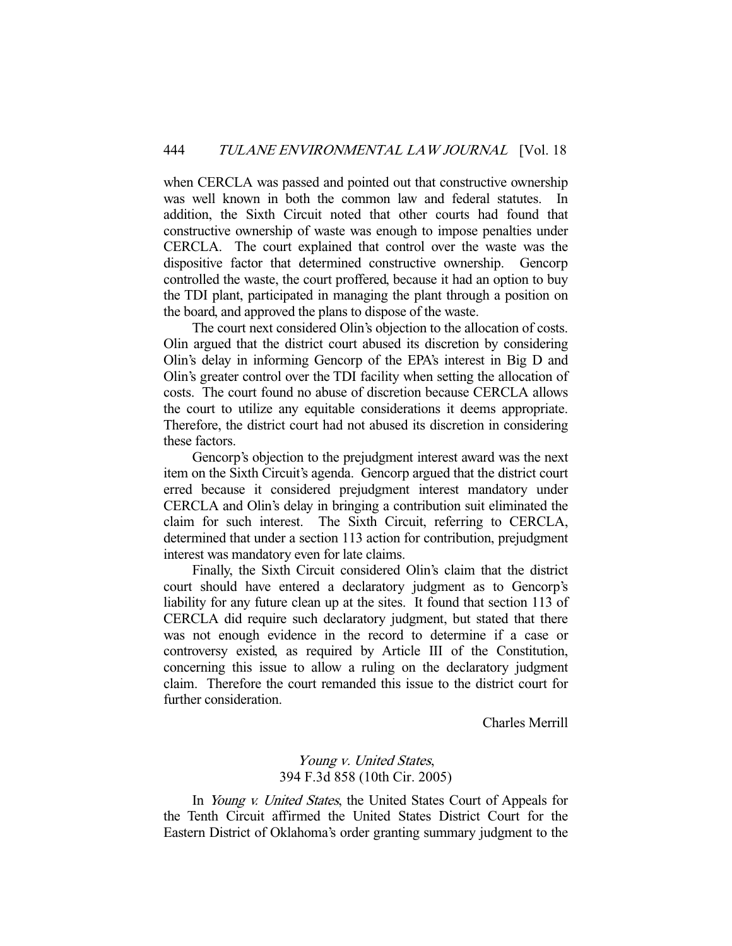when CERCLA was passed and pointed out that constructive ownership was well known in both the common law and federal statutes. In addition, the Sixth Circuit noted that other courts had found that constructive ownership of waste was enough to impose penalties under CERCLA. The court explained that control over the waste was the dispositive factor that determined constructive ownership. Gencorp controlled the waste, the court proffered, because it had an option to buy the TDI plant, participated in managing the plant through a position on the board, and approved the plans to dispose of the waste.

 The court next considered Olin's objection to the allocation of costs. Olin argued that the district court abused its discretion by considering Olin's delay in informing Gencorp of the EPA's interest in Big D and Olin's greater control over the TDI facility when setting the allocation of costs. The court found no abuse of discretion because CERCLA allows the court to utilize any equitable considerations it deems appropriate. Therefore, the district court had not abused its discretion in considering these factors.

 Gencorp's objection to the prejudgment interest award was the next item on the Sixth Circuit's agenda. Gencorp argued that the district court erred because it considered prejudgment interest mandatory under CERCLA and Olin's delay in bringing a contribution suit eliminated the claim for such interest. The Sixth Circuit, referring to CERCLA, determined that under a section 113 action for contribution, prejudgment interest was mandatory even for late claims.

 Finally, the Sixth Circuit considered Olin's claim that the district court should have entered a declaratory judgment as to Gencorp's liability for any future clean up at the sites. It found that section 113 of CERCLA did require such declaratory judgment, but stated that there was not enough evidence in the record to determine if a case or controversy existed, as required by Article III of the Constitution, concerning this issue to allow a ruling on the declaratory judgment claim. Therefore the court remanded this issue to the district court for further consideration.

Charles Merrill

## Young v. United States, 394 F.3d 858 (10th Cir. 2005)

In *Young v. United States*, the United States Court of Appeals for the Tenth Circuit affirmed the United States District Court for the Eastern District of Oklahoma's order granting summary judgment to the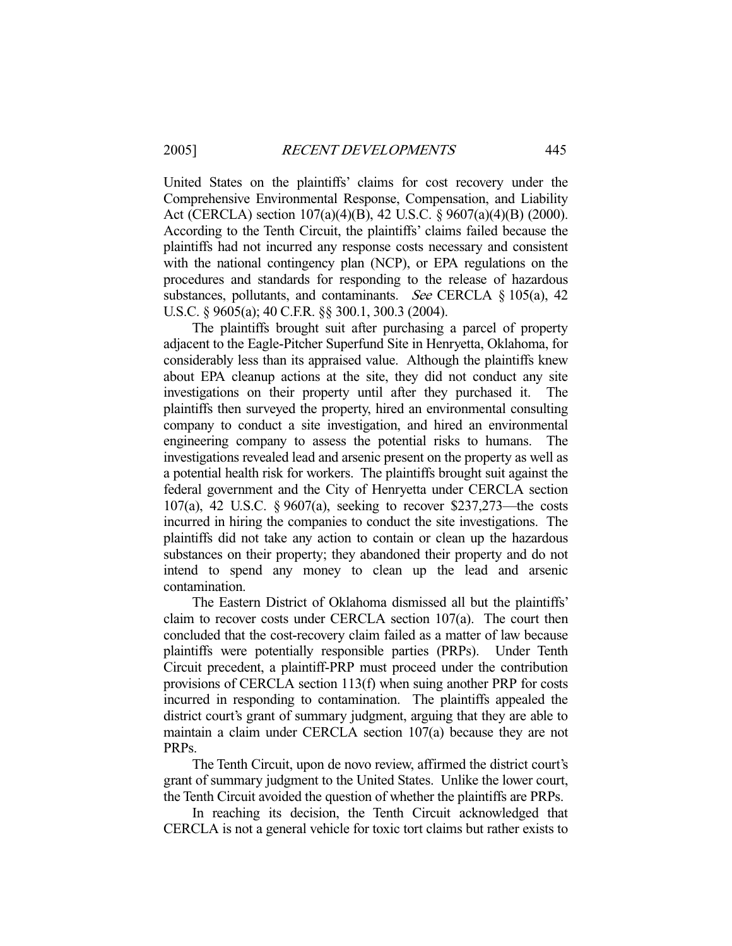United States on the plaintiffs' claims for cost recovery under the Comprehensive Environmental Response, Compensation, and Liability Act (CERCLA) section 107(a)(4)(B), 42 U.S.C. § 9607(a)(4)(B) (2000). According to the Tenth Circuit, the plaintiffs' claims failed because the plaintiffs had not incurred any response costs necessary and consistent with the national contingency plan (NCP), or EPA regulations on the procedures and standards for responding to the release of hazardous substances, pollutants, and contaminants. See CERCLA  $\S$  105(a), 42 U.S.C. § 9605(a); 40 C.F.R. §§ 300.1, 300.3 (2004).

 The plaintiffs brought suit after purchasing a parcel of property adjacent to the Eagle-Pitcher Superfund Site in Henryetta, Oklahoma, for considerably less than its appraised value. Although the plaintiffs knew about EPA cleanup actions at the site, they did not conduct any site investigations on their property until after they purchased it. The plaintiffs then surveyed the property, hired an environmental consulting company to conduct a site investigation, and hired an environmental engineering company to assess the potential risks to humans. The investigations revealed lead and arsenic present on the property as well as a potential health risk for workers. The plaintiffs brought suit against the federal government and the City of Henryetta under CERCLA section 107(a), 42 U.S.C. § 9607(a), seeking to recover \$237,273—the costs incurred in hiring the companies to conduct the site investigations. The plaintiffs did not take any action to contain or clean up the hazardous substances on their property; they abandoned their property and do not intend to spend any money to clean up the lead and arsenic contamination.

 The Eastern District of Oklahoma dismissed all but the plaintiffs' claim to recover costs under CERCLA section 107(a). The court then concluded that the cost-recovery claim failed as a matter of law because plaintiffs were potentially responsible parties (PRPs). Under Tenth Circuit precedent, a plaintiff-PRP must proceed under the contribution provisions of CERCLA section 113(f) when suing another PRP for costs incurred in responding to contamination. The plaintiffs appealed the district court's grant of summary judgment, arguing that they are able to maintain a claim under CERCLA section 107(a) because they are not PRPs.

 The Tenth Circuit, upon de novo review, affirmed the district court's grant of summary judgment to the United States. Unlike the lower court, the Tenth Circuit avoided the question of whether the plaintiffs are PRPs.

 In reaching its decision, the Tenth Circuit acknowledged that CERCLA is not a general vehicle for toxic tort claims but rather exists to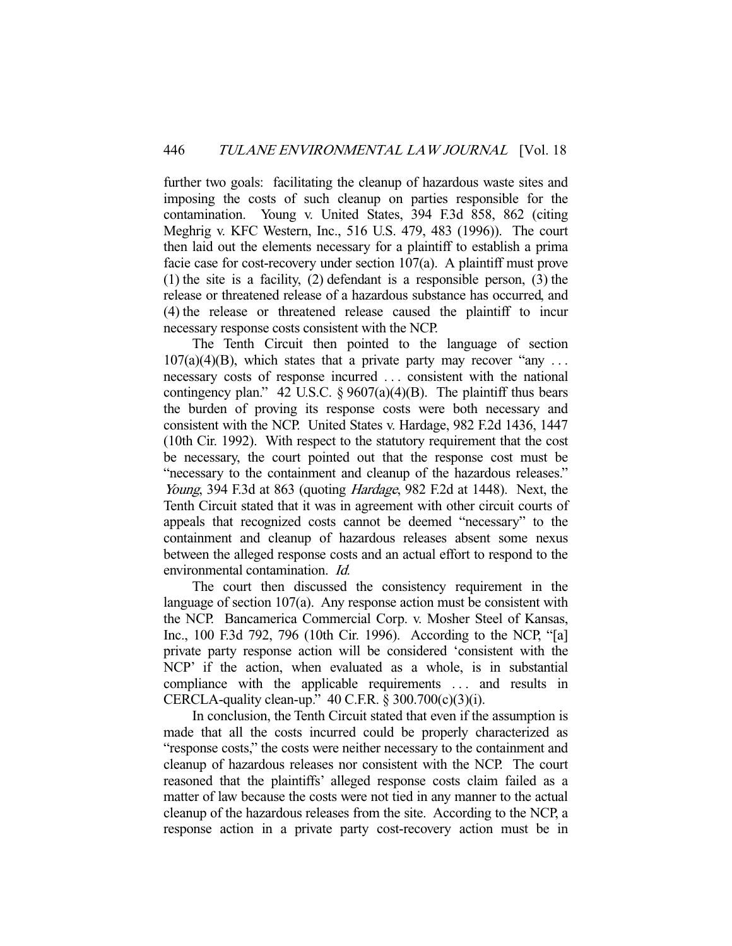further two goals: facilitating the cleanup of hazardous waste sites and imposing the costs of such cleanup on parties responsible for the contamination. Young v. United States, 394 F.3d 858, 862 (citing Meghrig v. KFC Western, Inc., 516 U.S. 479, 483 (1996)). The court then laid out the elements necessary for a plaintiff to establish a prima facie case for cost-recovery under section 107(a). A plaintiff must prove (1) the site is a facility, (2) defendant is a responsible person, (3) the release or threatened release of a hazardous substance has occurred, and (4) the release or threatened release caused the plaintiff to incur necessary response costs consistent with the NCP.

 The Tenth Circuit then pointed to the language of section  $107(a)(4)(B)$ , which states that a private party may recover "any ... necessary costs of response incurred . . . consistent with the national contingency plan." 42 U.S.C.  $\S 9607(a)(4)(B)$ . The plaintiff thus bears the burden of proving its response costs were both necessary and consistent with the NCP. United States v. Hardage, 982 F.2d 1436, 1447 (10th Cir. 1992). With respect to the statutory requirement that the cost be necessary, the court pointed out that the response cost must be "necessary to the containment and cleanup of the hazardous releases." Young, 394 F.3d at 863 (quoting *Hardage*, 982 F.2d at 1448). Next, the Tenth Circuit stated that it was in agreement with other circuit courts of appeals that recognized costs cannot be deemed "necessary" to the containment and cleanup of hazardous releases absent some nexus between the alleged response costs and an actual effort to respond to the environmental contamination. Id.

 The court then discussed the consistency requirement in the language of section 107(a). Any response action must be consistent with the NCP. Bancamerica Commercial Corp. v. Mosher Steel of Kansas, Inc., 100 F.3d 792, 796 (10th Cir. 1996). According to the NCP, "[a] private party response action will be considered 'consistent with the NCP' if the action, when evaluated as a whole, is in substantial compliance with the applicable requirements ... and results in CERCLA-quality clean-up."  $40$  C.F.R. § 300.700(c)(3)(i).

 In conclusion, the Tenth Circuit stated that even if the assumption is made that all the costs incurred could be properly characterized as "response costs," the costs were neither necessary to the containment and cleanup of hazardous releases nor consistent with the NCP. The court reasoned that the plaintiffs' alleged response costs claim failed as a matter of law because the costs were not tied in any manner to the actual cleanup of the hazardous releases from the site. According to the NCP, a response action in a private party cost-recovery action must be in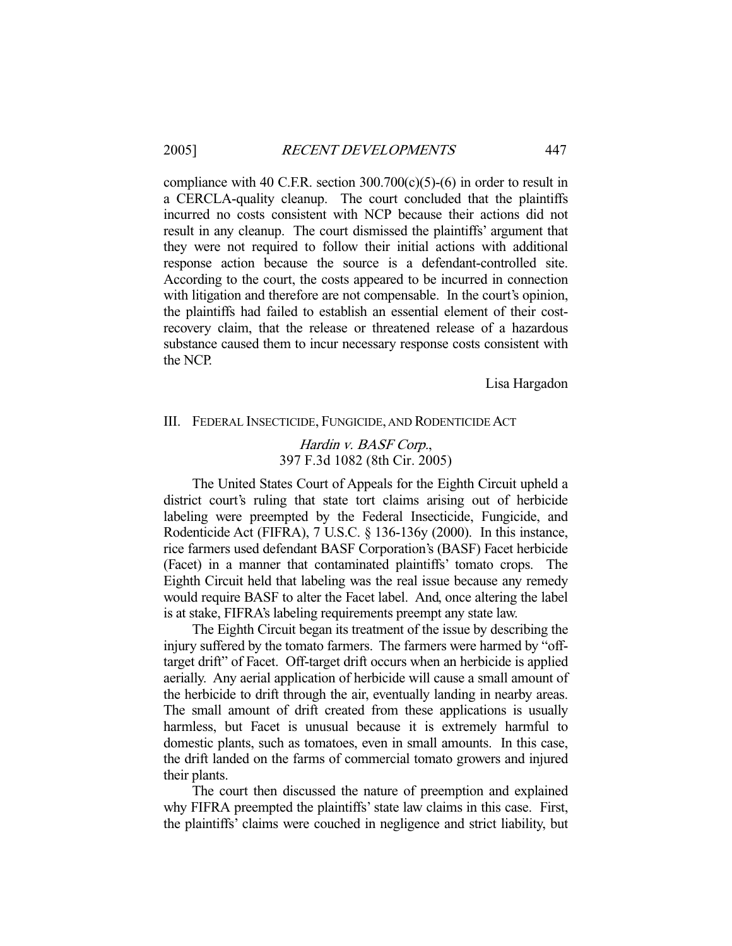compliance with 40 C.F.R. section  $300.700(c)(5)-(6)$  in order to result in a CERCLA-quality cleanup. The court concluded that the plaintiffs incurred no costs consistent with NCP because their actions did not result in any cleanup. The court dismissed the plaintiffs' argument that they were not required to follow their initial actions with additional response action because the source is a defendant-controlled site. According to the court, the costs appeared to be incurred in connection with litigation and therefore are not compensable. In the court's opinion, the plaintiffs had failed to establish an essential element of their costrecovery claim, that the release or threatened release of a hazardous substance caused them to incur necessary response costs consistent with the NCP.

Lisa Hargadon

#### III. FEDERAL INSECTICIDE, FUNGICIDE, AND RODENTICIDE ACT

## Hardin v. BASF Corp., 397 F.3d 1082 (8th Cir. 2005)

 The United States Court of Appeals for the Eighth Circuit upheld a district court's ruling that state tort claims arising out of herbicide labeling were preempted by the Federal Insecticide, Fungicide, and Rodenticide Act (FIFRA), 7 U.S.C. § 136-136y (2000). In this instance, rice farmers used defendant BASF Corporation's (BASF) Facet herbicide (Facet) in a manner that contaminated plaintiffs' tomato crops. The Eighth Circuit held that labeling was the real issue because any remedy would require BASF to alter the Facet label. And, once altering the label is at stake, FIFRA's labeling requirements preempt any state law.

 The Eighth Circuit began its treatment of the issue by describing the injury suffered by the tomato farmers. The farmers were harmed by "offtarget drift" of Facet. Off-target drift occurs when an herbicide is applied aerially. Any aerial application of herbicide will cause a small amount of the herbicide to drift through the air, eventually landing in nearby areas. The small amount of drift created from these applications is usually harmless, but Facet is unusual because it is extremely harmful to domestic plants, such as tomatoes, even in small amounts. In this case, the drift landed on the farms of commercial tomato growers and injured their plants.

 The court then discussed the nature of preemption and explained why FIFRA preempted the plaintiffs' state law claims in this case. First, the plaintiffs' claims were couched in negligence and strict liability, but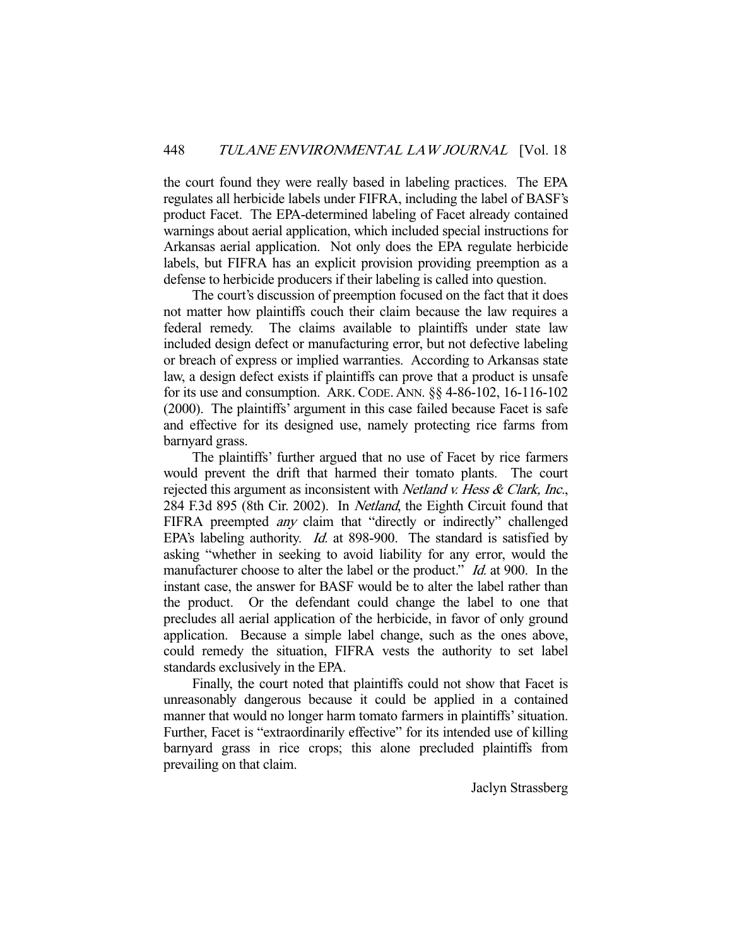the court found they were really based in labeling practices. The EPA regulates all herbicide labels under FIFRA, including the label of BASF's product Facet. The EPA-determined labeling of Facet already contained warnings about aerial application, which included special instructions for Arkansas aerial application. Not only does the EPA regulate herbicide labels, but FIFRA has an explicit provision providing preemption as a defense to herbicide producers if their labeling is called into question.

 The court's discussion of preemption focused on the fact that it does not matter how plaintiffs couch their claim because the law requires a federal remedy. The claims available to plaintiffs under state law included design defect or manufacturing error, but not defective labeling or breach of express or implied warranties. According to Arkansas state law, a design defect exists if plaintiffs can prove that a product is unsafe for its use and consumption. ARK. CODE. ANN. §§ 4-86-102, 16-116-102 (2000). The plaintiffs' argument in this case failed because Facet is safe and effective for its designed use, namely protecting rice farms from barnyard grass.

 The plaintiffs' further argued that no use of Facet by rice farmers would prevent the drift that harmed their tomato plants. The court rejected this argument as inconsistent with *Netland v. Hess & Clark, Inc.*, 284 F.3d 895 (8th Cir. 2002). In Netland, the Eighth Circuit found that FIFRA preempted *any* claim that "directly or indirectly" challenged EPA's labeling authority. *Id.* at 898-900. The standard is satisfied by asking "whether in seeking to avoid liability for any error, would the manufacturer choose to alter the label or the product." *Id.* at 900. In the instant case, the answer for BASF would be to alter the label rather than the product. Or the defendant could change the label to one that precludes all aerial application of the herbicide, in favor of only ground application. Because a simple label change, such as the ones above, could remedy the situation, FIFRA vests the authority to set label standards exclusively in the EPA.

 Finally, the court noted that plaintiffs could not show that Facet is unreasonably dangerous because it could be applied in a contained manner that would no longer harm tomato farmers in plaintiffs' situation. Further, Facet is "extraordinarily effective" for its intended use of killing barnyard grass in rice crops; this alone precluded plaintiffs from prevailing on that claim.

Jaclyn Strassberg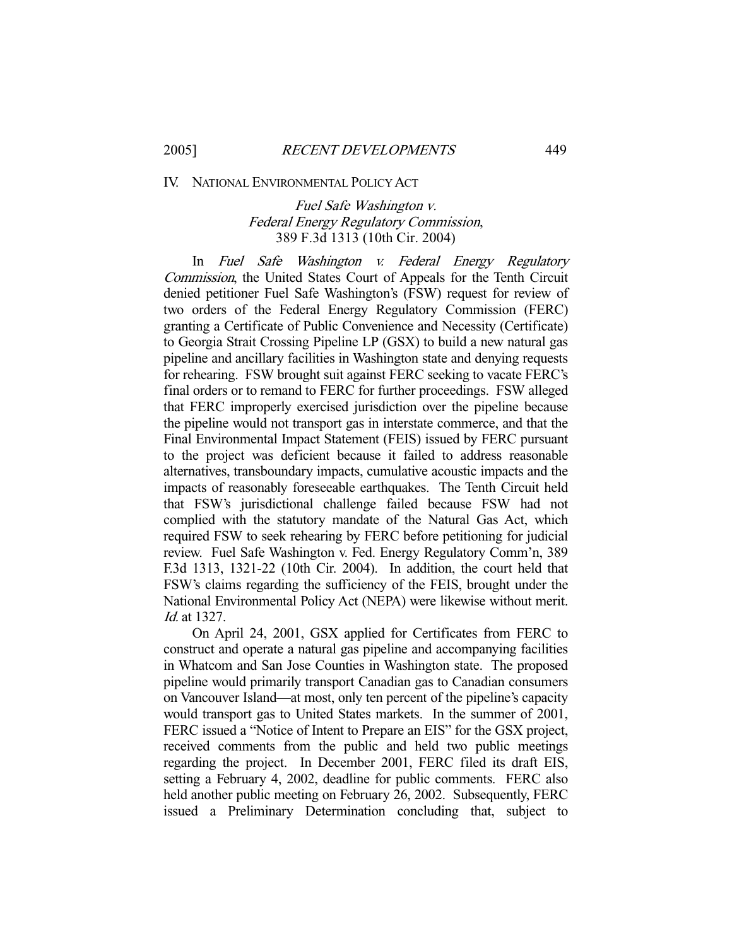#### IV. NATIONAL ENVIRONMENTAL POLICY ACT

# Fuel Safe Washington v. Federal Energy Regulatory Commission, 389 F.3d 1313 (10th Cir. 2004)

 In Fuel Safe Washington v. Federal Energy Regulatory Commission, the United States Court of Appeals for the Tenth Circuit denied petitioner Fuel Safe Washington's (FSW) request for review of two orders of the Federal Energy Regulatory Commission (FERC) granting a Certificate of Public Convenience and Necessity (Certificate) to Georgia Strait Crossing Pipeline LP (GSX) to build a new natural gas pipeline and ancillary facilities in Washington state and denying requests for rehearing. FSW brought suit against FERC seeking to vacate FERC's final orders or to remand to FERC for further proceedings. FSW alleged that FERC improperly exercised jurisdiction over the pipeline because the pipeline would not transport gas in interstate commerce, and that the Final Environmental Impact Statement (FEIS) issued by FERC pursuant to the project was deficient because it failed to address reasonable alternatives, transboundary impacts, cumulative acoustic impacts and the impacts of reasonably foreseeable earthquakes. The Tenth Circuit held that FSW's jurisdictional challenge failed because FSW had not complied with the statutory mandate of the Natural Gas Act, which required FSW to seek rehearing by FERC before petitioning for judicial review. Fuel Safe Washington v. Fed. Energy Regulatory Comm'n, 389 F.3d 1313, 1321-22 (10th Cir. 2004). In addition, the court held that FSW's claims regarding the sufficiency of the FEIS, brought under the National Environmental Policy Act (NEPA) were likewise without merit. Id. at 1327.

 On April 24, 2001, GSX applied for Certificates from FERC to construct and operate a natural gas pipeline and accompanying facilities in Whatcom and San Jose Counties in Washington state. The proposed pipeline would primarily transport Canadian gas to Canadian consumers on Vancouver Island—at most, only ten percent of the pipeline's capacity would transport gas to United States markets. In the summer of 2001, FERC issued a "Notice of Intent to Prepare an EIS" for the GSX project, received comments from the public and held two public meetings regarding the project. In December 2001, FERC filed its draft EIS, setting a February 4, 2002, deadline for public comments. FERC also held another public meeting on February 26, 2002. Subsequently, FERC issued a Preliminary Determination concluding that, subject to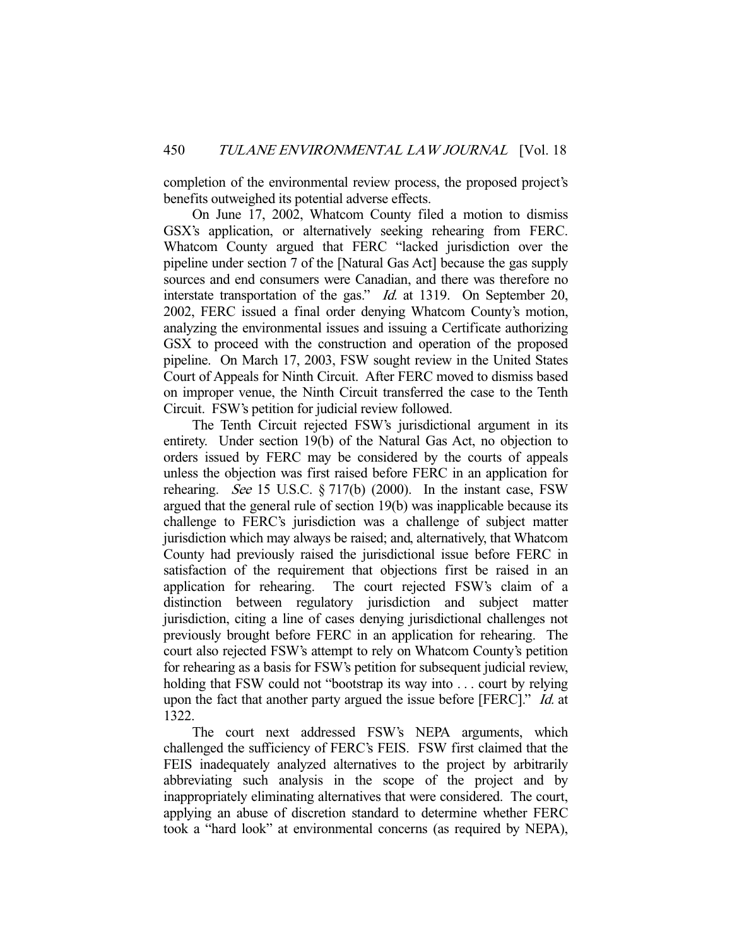completion of the environmental review process, the proposed project's benefits outweighed its potential adverse effects.

 On June 17, 2002, Whatcom County filed a motion to dismiss GSX's application, or alternatively seeking rehearing from FERC. Whatcom County argued that FERC "lacked jurisdiction over the pipeline under section 7 of the [Natural Gas Act] because the gas supply sources and end consumers were Canadian, and there was therefore no interstate transportation of the gas." *Id.* at 1319. On September 20, 2002, FERC issued a final order denying Whatcom County's motion, analyzing the environmental issues and issuing a Certificate authorizing GSX to proceed with the construction and operation of the proposed pipeline. On March 17, 2003, FSW sought review in the United States Court of Appeals for Ninth Circuit. After FERC moved to dismiss based on improper venue, the Ninth Circuit transferred the case to the Tenth Circuit. FSW's petition for judicial review followed.

 The Tenth Circuit rejected FSW's jurisdictional argument in its entirety. Under section 19(b) of the Natural Gas Act, no objection to orders issued by FERC may be considered by the courts of appeals unless the objection was first raised before FERC in an application for rehearing. See 15 U.S.C.  $\S 717(b)$  (2000). In the instant case, FSW argued that the general rule of section 19(b) was inapplicable because its challenge to FERC's jurisdiction was a challenge of subject matter jurisdiction which may always be raised; and, alternatively, that Whatcom County had previously raised the jurisdictional issue before FERC in satisfaction of the requirement that objections first be raised in an application for rehearing. The court rejected FSW's claim of a distinction between regulatory jurisdiction and subject matter jurisdiction, citing a line of cases denying jurisdictional challenges not previously brought before FERC in an application for rehearing. The court also rejected FSW's attempt to rely on Whatcom County's petition for rehearing as a basis for FSW's petition for subsequent judicial review, holding that FSW could not "bootstrap its way into . . . court by relying upon the fact that another party argued the issue before [FERC]." *Id.* at 1322.

 The court next addressed FSW's NEPA arguments, which challenged the sufficiency of FERC's FEIS. FSW first claimed that the FEIS inadequately analyzed alternatives to the project by arbitrarily abbreviating such analysis in the scope of the project and by inappropriately eliminating alternatives that were considered. The court, applying an abuse of discretion standard to determine whether FERC took a "hard look" at environmental concerns (as required by NEPA),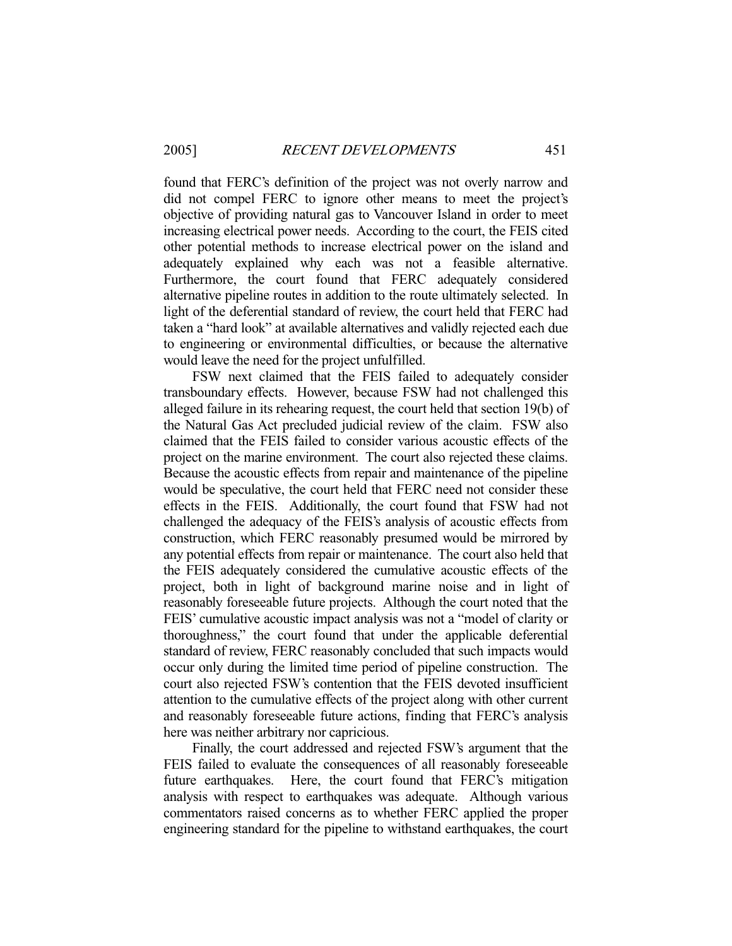found that FERC's definition of the project was not overly narrow and did not compel FERC to ignore other means to meet the project's objective of providing natural gas to Vancouver Island in order to meet increasing electrical power needs. According to the court, the FEIS cited other potential methods to increase electrical power on the island and adequately explained why each was not a feasible alternative. Furthermore, the court found that FERC adequately considered alternative pipeline routes in addition to the route ultimately selected. In light of the deferential standard of review, the court held that FERC had taken a "hard look" at available alternatives and validly rejected each due to engineering or environmental difficulties, or because the alternative would leave the need for the project unfulfilled.

 FSW next claimed that the FEIS failed to adequately consider transboundary effects. However, because FSW had not challenged this alleged failure in its rehearing request, the court held that section 19(b) of the Natural Gas Act precluded judicial review of the claim. FSW also claimed that the FEIS failed to consider various acoustic effects of the project on the marine environment. The court also rejected these claims. Because the acoustic effects from repair and maintenance of the pipeline would be speculative, the court held that FERC need not consider these effects in the FEIS. Additionally, the court found that FSW had not challenged the adequacy of the FEIS's analysis of acoustic effects from construction, which FERC reasonably presumed would be mirrored by any potential effects from repair or maintenance. The court also held that the FEIS adequately considered the cumulative acoustic effects of the project, both in light of background marine noise and in light of reasonably foreseeable future projects. Although the court noted that the FEIS' cumulative acoustic impact analysis was not a "model of clarity or thoroughness," the court found that under the applicable deferential standard of review, FERC reasonably concluded that such impacts would occur only during the limited time period of pipeline construction. The court also rejected FSW's contention that the FEIS devoted insufficient attention to the cumulative effects of the project along with other current and reasonably foreseeable future actions, finding that FERC's analysis here was neither arbitrary nor capricious.

 Finally, the court addressed and rejected FSW's argument that the FEIS failed to evaluate the consequences of all reasonably foreseeable future earthquakes. Here, the court found that FERC's mitigation analysis with respect to earthquakes was adequate. Although various commentators raised concerns as to whether FERC applied the proper engineering standard for the pipeline to withstand earthquakes, the court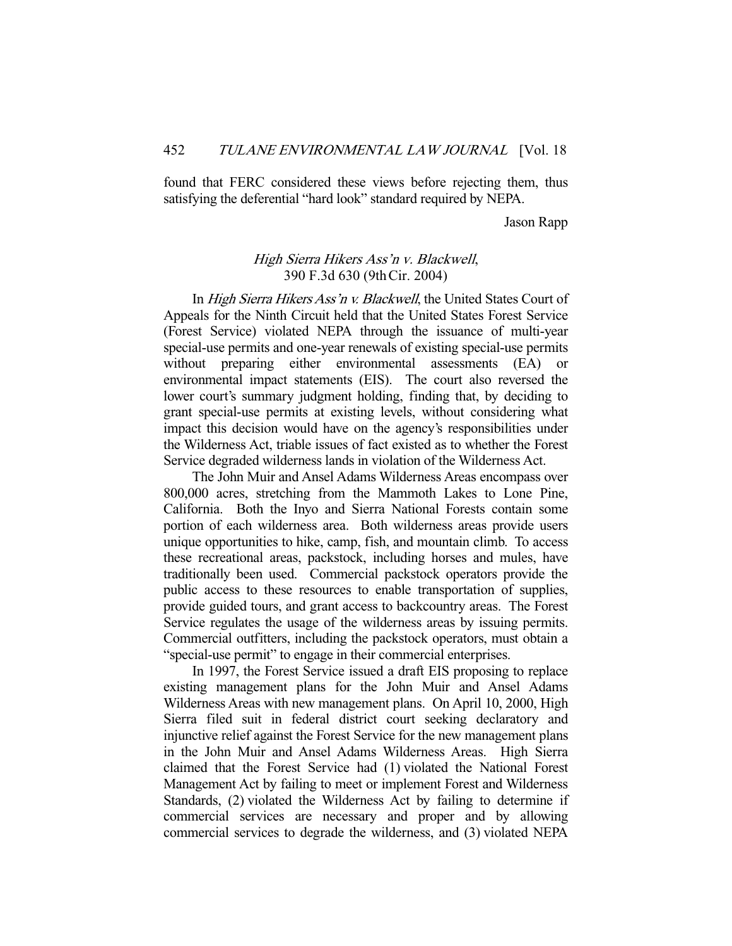found that FERC considered these views before rejecting them, thus satisfying the deferential "hard look" standard required by NEPA.

Jason Rapp

# High Sierra Hikers Ass'n v. Blackwell, 390 F.3d 630 (9thCir. 2004)

 In High Sierra Hikers Ass'n v. Blackwell, the United States Court of Appeals for the Ninth Circuit held that the United States Forest Service (Forest Service) violated NEPA through the issuance of multi-year special-use permits and one-year renewals of existing special-use permits without preparing either environmental assessments (EA) or environmental impact statements (EIS). The court also reversed the lower court's summary judgment holding, finding that, by deciding to grant special-use permits at existing levels, without considering what impact this decision would have on the agency's responsibilities under the Wilderness Act, triable issues of fact existed as to whether the Forest Service degraded wilderness lands in violation of the Wilderness Act.

 The John Muir and Ansel Adams Wilderness Areas encompass over 800,000 acres, stretching from the Mammoth Lakes to Lone Pine, California. Both the Inyo and Sierra National Forests contain some portion of each wilderness area. Both wilderness areas provide users unique opportunities to hike, camp, fish, and mountain climb. To access these recreational areas, packstock, including horses and mules, have traditionally been used. Commercial packstock operators provide the public access to these resources to enable transportation of supplies, provide guided tours, and grant access to backcountry areas. The Forest Service regulates the usage of the wilderness areas by issuing permits. Commercial outfitters, including the packstock operators, must obtain a "special-use permit" to engage in their commercial enterprises.

 In 1997, the Forest Service issued a draft EIS proposing to replace existing management plans for the John Muir and Ansel Adams Wilderness Areas with new management plans. On April 10, 2000, High Sierra filed suit in federal district court seeking declaratory and injunctive relief against the Forest Service for the new management plans in the John Muir and Ansel Adams Wilderness Areas. High Sierra claimed that the Forest Service had (1) violated the National Forest Management Act by failing to meet or implement Forest and Wilderness Standards, (2) violated the Wilderness Act by failing to determine if commercial services are necessary and proper and by allowing commercial services to degrade the wilderness, and (3) violated NEPA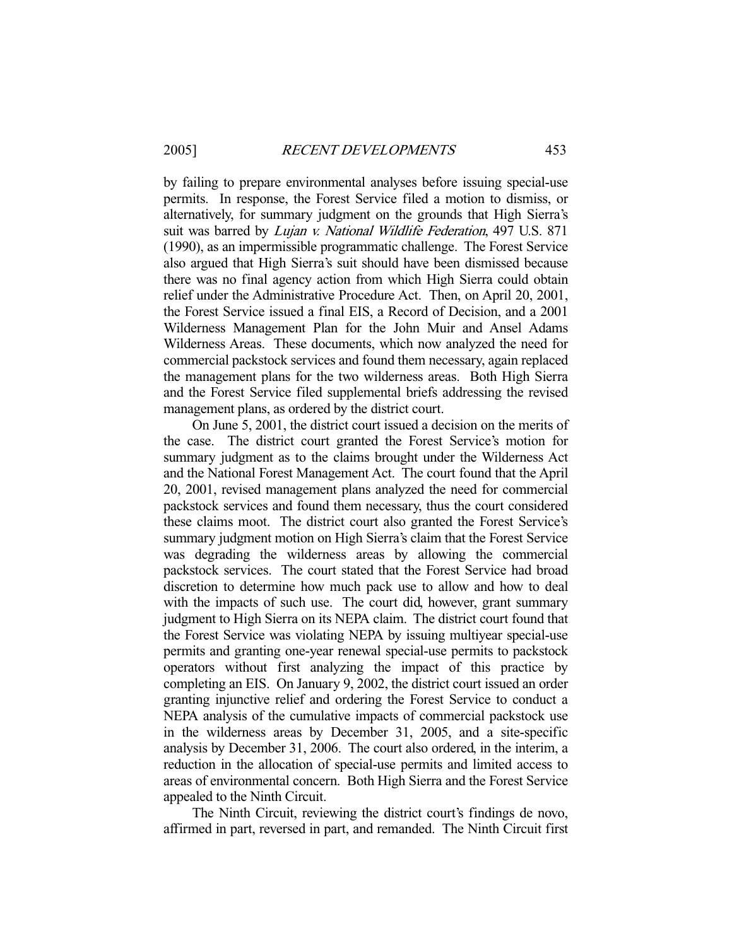by failing to prepare environmental analyses before issuing special-use permits. In response, the Forest Service filed a motion to dismiss, or alternatively, for summary judgment on the grounds that High Sierra's suit was barred by *Lujan v. National Wildlife Federation*, 497 U.S. 871 (1990), as an impermissible programmatic challenge. The Forest Service also argued that High Sierra's suit should have been dismissed because there was no final agency action from which High Sierra could obtain relief under the Administrative Procedure Act. Then, on April 20, 2001, the Forest Service issued a final EIS, a Record of Decision, and a 2001 Wilderness Management Plan for the John Muir and Ansel Adams Wilderness Areas. These documents, which now analyzed the need for commercial packstock services and found them necessary, again replaced the management plans for the two wilderness areas. Both High Sierra and the Forest Service filed supplemental briefs addressing the revised management plans, as ordered by the district court.

 On June 5, 2001, the district court issued a decision on the merits of the case. The district court granted the Forest Service's motion for summary judgment as to the claims brought under the Wilderness Act and the National Forest Management Act. The court found that the April 20, 2001, revised management plans analyzed the need for commercial packstock services and found them necessary, thus the court considered these claims moot. The district court also granted the Forest Service's summary judgment motion on High Sierra's claim that the Forest Service was degrading the wilderness areas by allowing the commercial packstock services. The court stated that the Forest Service had broad discretion to determine how much pack use to allow and how to deal with the impacts of such use. The court did, however, grant summary judgment to High Sierra on its NEPA claim. The district court found that the Forest Service was violating NEPA by issuing multiyear special-use permits and granting one-year renewal special-use permits to packstock operators without first analyzing the impact of this practice by completing an EIS. On January 9, 2002, the district court issued an order granting injunctive relief and ordering the Forest Service to conduct a NEPA analysis of the cumulative impacts of commercial packstock use in the wilderness areas by December 31, 2005, and a site-specific analysis by December 31, 2006. The court also ordered, in the interim, a reduction in the allocation of special-use permits and limited access to areas of environmental concern. Both High Sierra and the Forest Service appealed to the Ninth Circuit.

 The Ninth Circuit, reviewing the district court's findings de novo, affirmed in part, reversed in part, and remanded. The Ninth Circuit first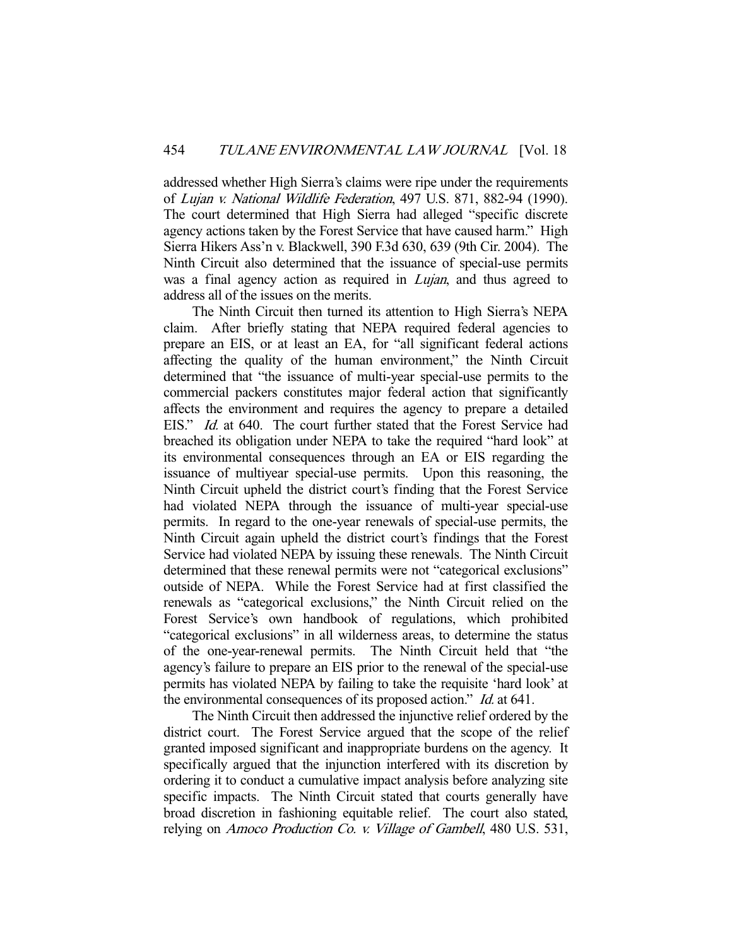addressed whether High Sierra's claims were ripe under the requirements of Lujan v. National Wildlife Federation, 497 U.S. 871, 882-94 (1990). The court determined that High Sierra had alleged "specific discrete agency actions taken by the Forest Service that have caused harm." High Sierra Hikers Ass'n v. Blackwell, 390 F.3d 630, 639 (9th Cir. 2004). The Ninth Circuit also determined that the issuance of special-use permits was a final agency action as required in *Lujan*, and thus agreed to address all of the issues on the merits.

 The Ninth Circuit then turned its attention to High Sierra's NEPA claim. After briefly stating that NEPA required federal agencies to prepare an EIS, or at least an EA, for "all significant federal actions affecting the quality of the human environment," the Ninth Circuit determined that "the issuance of multi-year special-use permits to the commercial packers constitutes major federal action that significantly affects the environment and requires the agency to prepare a detailed EIS." *Id.* at 640. The court further stated that the Forest Service had breached its obligation under NEPA to take the required "hard look" at its environmental consequences through an EA or EIS regarding the issuance of multiyear special-use permits. Upon this reasoning, the Ninth Circuit upheld the district court's finding that the Forest Service had violated NEPA through the issuance of multi-year special-use permits. In regard to the one-year renewals of special-use permits, the Ninth Circuit again upheld the district court's findings that the Forest Service had violated NEPA by issuing these renewals. The Ninth Circuit determined that these renewal permits were not "categorical exclusions" outside of NEPA. While the Forest Service had at first classified the renewals as "categorical exclusions," the Ninth Circuit relied on the Forest Service's own handbook of regulations, which prohibited "categorical exclusions" in all wilderness areas, to determine the status of the one-year-renewal permits. The Ninth Circuit held that "the agency's failure to prepare an EIS prior to the renewal of the special-use permits has violated NEPA by failing to take the requisite 'hard look' at the environmental consequences of its proposed action." *Id.* at 641.

 The Ninth Circuit then addressed the injunctive relief ordered by the district court. The Forest Service argued that the scope of the relief granted imposed significant and inappropriate burdens on the agency. It specifically argued that the injunction interfered with its discretion by ordering it to conduct a cumulative impact analysis before analyzing site specific impacts. The Ninth Circuit stated that courts generally have broad discretion in fashioning equitable relief. The court also stated, relying on Amoco Production Co. v. Village of Gambell, 480 U.S. 531,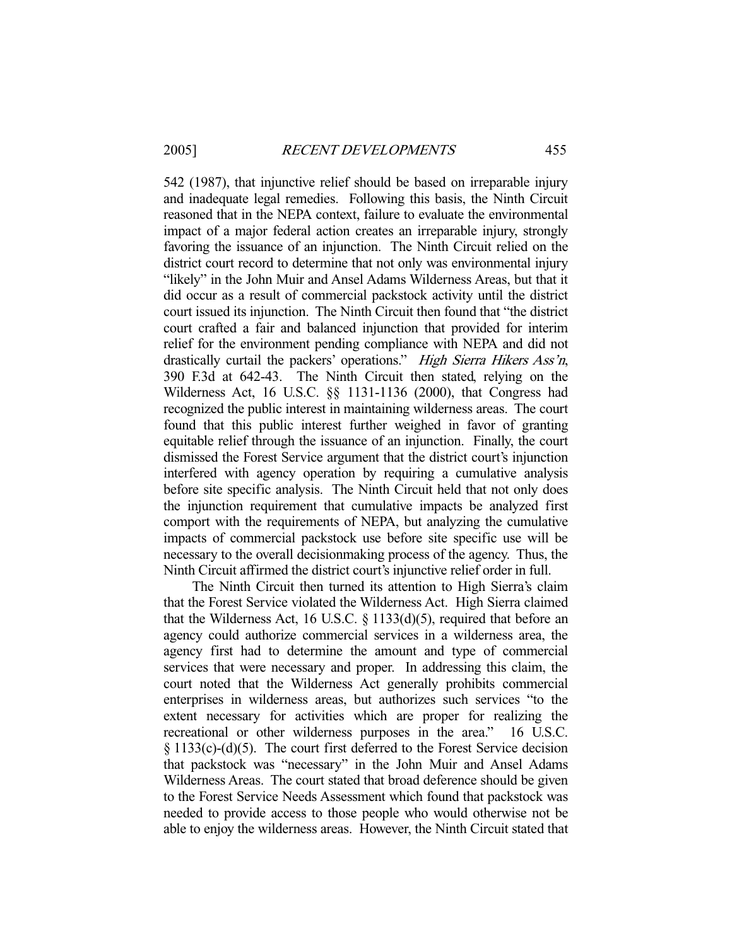542 (1987), that injunctive relief should be based on irreparable injury and inadequate legal remedies. Following this basis, the Ninth Circuit reasoned that in the NEPA context, failure to evaluate the environmental impact of a major federal action creates an irreparable injury, strongly favoring the issuance of an injunction. The Ninth Circuit relied on the district court record to determine that not only was environmental injury "likely" in the John Muir and Ansel Adams Wilderness Areas, but that it did occur as a result of commercial packstock activity until the district court issued its injunction. The Ninth Circuit then found that "the district court crafted a fair and balanced injunction that provided for interim relief for the environment pending compliance with NEPA and did not drastically curtail the packers' operations." High Sierra Hikers Ass'n, 390 F.3d at 642-43. The Ninth Circuit then stated, relying on the Wilderness Act, 16 U.S.C. §§ 1131-1136 (2000), that Congress had recognized the public interest in maintaining wilderness areas. The court found that this public interest further weighed in favor of granting equitable relief through the issuance of an injunction. Finally, the court dismissed the Forest Service argument that the district court's injunction interfered with agency operation by requiring a cumulative analysis before site specific analysis. The Ninth Circuit held that not only does the injunction requirement that cumulative impacts be analyzed first comport with the requirements of NEPA, but analyzing the cumulative impacts of commercial packstock use before site specific use will be necessary to the overall decisionmaking process of the agency. Thus, the Ninth Circuit affirmed the district court's injunctive relief order in full.

 The Ninth Circuit then turned its attention to High Sierra's claim that the Forest Service violated the Wilderness Act. High Sierra claimed that the Wilderness Act, 16 U.S.C.  $\S$  1133(d)(5), required that before an agency could authorize commercial services in a wilderness area, the agency first had to determine the amount and type of commercial services that were necessary and proper. In addressing this claim, the court noted that the Wilderness Act generally prohibits commercial enterprises in wilderness areas, but authorizes such services "to the extent necessary for activities which are proper for realizing the recreational or other wilderness purposes in the area." 16 U.S.C. § 1133(c)-(d)(5). The court first deferred to the Forest Service decision that packstock was "necessary" in the John Muir and Ansel Adams Wilderness Areas. The court stated that broad deference should be given to the Forest Service Needs Assessment which found that packstock was needed to provide access to those people who would otherwise not be able to enjoy the wilderness areas. However, the Ninth Circuit stated that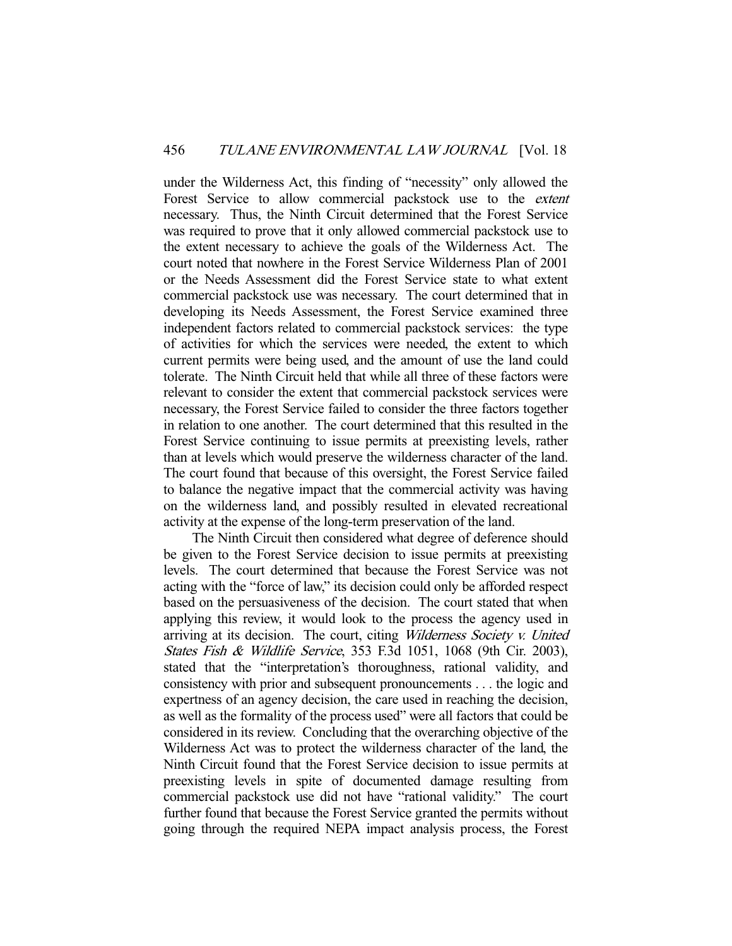under the Wilderness Act, this finding of "necessity" only allowed the Forest Service to allow commercial packstock use to the *extent* necessary. Thus, the Ninth Circuit determined that the Forest Service was required to prove that it only allowed commercial packstock use to the extent necessary to achieve the goals of the Wilderness Act. The court noted that nowhere in the Forest Service Wilderness Plan of 2001 or the Needs Assessment did the Forest Service state to what extent commercial packstock use was necessary. The court determined that in developing its Needs Assessment, the Forest Service examined three independent factors related to commercial packstock services: the type of activities for which the services were needed, the extent to which current permits were being used, and the amount of use the land could tolerate. The Ninth Circuit held that while all three of these factors were relevant to consider the extent that commercial packstock services were necessary, the Forest Service failed to consider the three factors together in relation to one another. The court determined that this resulted in the Forest Service continuing to issue permits at preexisting levels, rather than at levels which would preserve the wilderness character of the land. The court found that because of this oversight, the Forest Service failed to balance the negative impact that the commercial activity was having on the wilderness land, and possibly resulted in elevated recreational activity at the expense of the long-term preservation of the land.

 The Ninth Circuit then considered what degree of deference should be given to the Forest Service decision to issue permits at preexisting levels. The court determined that because the Forest Service was not acting with the "force of law," its decision could only be afforded respect based on the persuasiveness of the decision. The court stated that when applying this review, it would look to the process the agency used in arriving at its decision. The court, citing Wilderness Society v. United States Fish & Wildlife Service, 353 F.3d 1051, 1068 (9th Cir. 2003), stated that the "interpretation's thoroughness, rational validity, and consistency with prior and subsequent pronouncements . . . the logic and expertness of an agency decision, the care used in reaching the decision, as well as the formality of the process used" were all factors that could be considered in its review. Concluding that the overarching objective of the Wilderness Act was to protect the wilderness character of the land, the Ninth Circuit found that the Forest Service decision to issue permits at preexisting levels in spite of documented damage resulting from commercial packstock use did not have "rational validity." The court further found that because the Forest Service granted the permits without going through the required NEPA impact analysis process, the Forest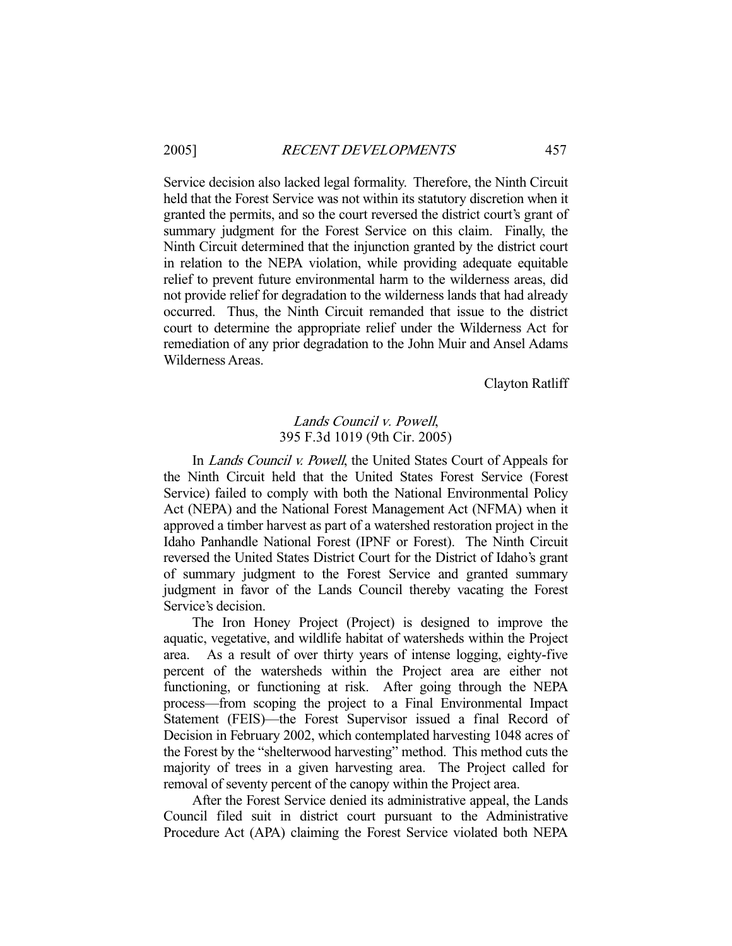Service decision also lacked legal formality. Therefore, the Ninth Circuit held that the Forest Service was not within its statutory discretion when it granted the permits, and so the court reversed the district court's grant of summary judgment for the Forest Service on this claim. Finally, the Ninth Circuit determined that the injunction granted by the district court in relation to the NEPA violation, while providing adequate equitable relief to prevent future environmental harm to the wilderness areas, did not provide relief for degradation to the wilderness lands that had already occurred. Thus, the Ninth Circuit remanded that issue to the district court to determine the appropriate relief under the Wilderness Act for remediation of any prior degradation to the John Muir and Ansel Adams Wilderness Areas.

Clayton Ratliff

# Lands Council v. Powell, 395 F.3d 1019 (9th Cir. 2005)

In *Lands Council v. Powell*, the United States Court of Appeals for the Ninth Circuit held that the United States Forest Service (Forest Service) failed to comply with both the National Environmental Policy Act (NEPA) and the National Forest Management Act (NFMA) when it approved a timber harvest as part of a watershed restoration project in the Idaho Panhandle National Forest (IPNF or Forest). The Ninth Circuit reversed the United States District Court for the District of Idaho's grant of summary judgment to the Forest Service and granted summary judgment in favor of the Lands Council thereby vacating the Forest Service's decision.

 The Iron Honey Project (Project) is designed to improve the aquatic, vegetative, and wildlife habitat of watersheds within the Project area. As a result of over thirty years of intense logging, eighty-five percent of the watersheds within the Project area are either not functioning, or functioning at risk. After going through the NEPA process—from scoping the project to a Final Environmental Impact Statement (FEIS)—the Forest Supervisor issued a final Record of Decision in February 2002, which contemplated harvesting 1048 acres of the Forest by the "shelterwood harvesting" method. This method cuts the majority of trees in a given harvesting area. The Project called for removal of seventy percent of the canopy within the Project area.

 After the Forest Service denied its administrative appeal, the Lands Council filed suit in district court pursuant to the Administrative Procedure Act (APA) claiming the Forest Service violated both NEPA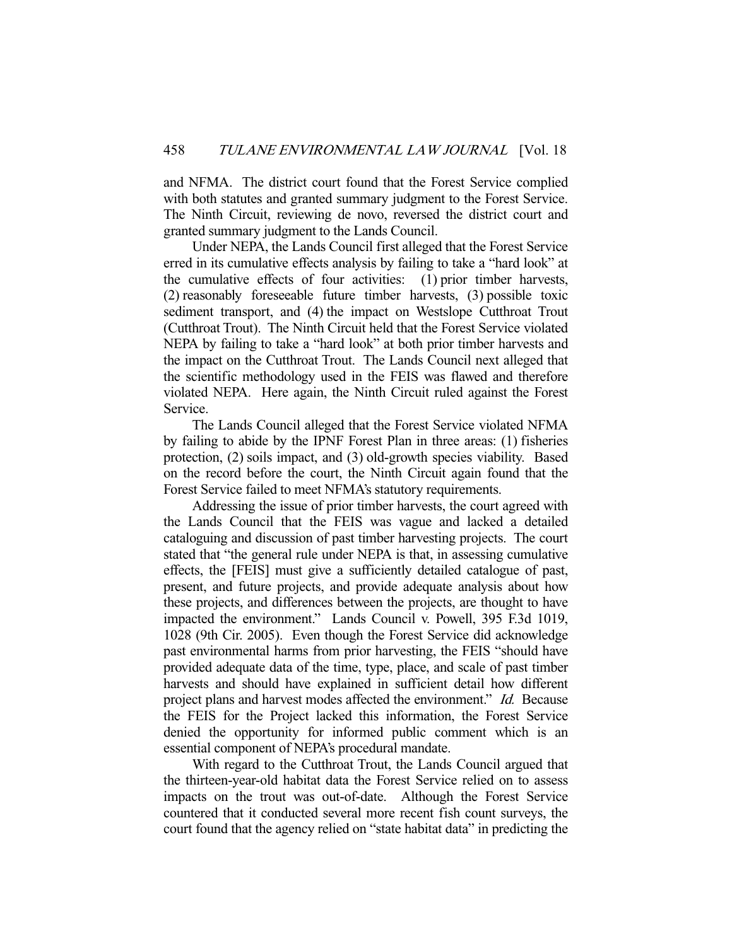and NFMA. The district court found that the Forest Service complied with both statutes and granted summary judgment to the Forest Service. The Ninth Circuit, reviewing de novo, reversed the district court and granted summary judgment to the Lands Council.

 Under NEPA, the Lands Council first alleged that the Forest Service erred in its cumulative effects analysis by failing to take a "hard look" at the cumulative effects of four activities: (1) prior timber harvests, (2) reasonably foreseeable future timber harvests, (3) possible toxic sediment transport, and (4) the impact on Westslope Cutthroat Trout (Cutthroat Trout). The Ninth Circuit held that the Forest Service violated NEPA by failing to take a "hard look" at both prior timber harvests and the impact on the Cutthroat Trout. The Lands Council next alleged that the scientific methodology used in the FEIS was flawed and therefore violated NEPA. Here again, the Ninth Circuit ruled against the Forest Service.

 The Lands Council alleged that the Forest Service violated NFMA by failing to abide by the IPNF Forest Plan in three areas: (1) fisheries protection, (2) soils impact, and (3) old-growth species viability. Based on the record before the court, the Ninth Circuit again found that the Forest Service failed to meet NFMA's statutory requirements.

 Addressing the issue of prior timber harvests, the court agreed with the Lands Council that the FEIS was vague and lacked a detailed cataloguing and discussion of past timber harvesting projects. The court stated that "the general rule under NEPA is that, in assessing cumulative effects, the [FEIS] must give a sufficiently detailed catalogue of past, present, and future projects, and provide adequate analysis about how these projects, and differences between the projects, are thought to have impacted the environment." Lands Council v. Powell, 395 F.3d 1019, 1028 (9th Cir. 2005). Even though the Forest Service did acknowledge past environmental harms from prior harvesting, the FEIS "should have provided adequate data of the time, type, place, and scale of past timber harvests and should have explained in sufficient detail how different project plans and harvest modes affected the environment." Id. Because the FEIS for the Project lacked this information, the Forest Service denied the opportunity for informed public comment which is an essential component of NEPA's procedural mandate.

 With regard to the Cutthroat Trout, the Lands Council argued that the thirteen-year-old habitat data the Forest Service relied on to assess impacts on the trout was out-of-date. Although the Forest Service countered that it conducted several more recent fish count surveys, the court found that the agency relied on "state habitat data" in predicting the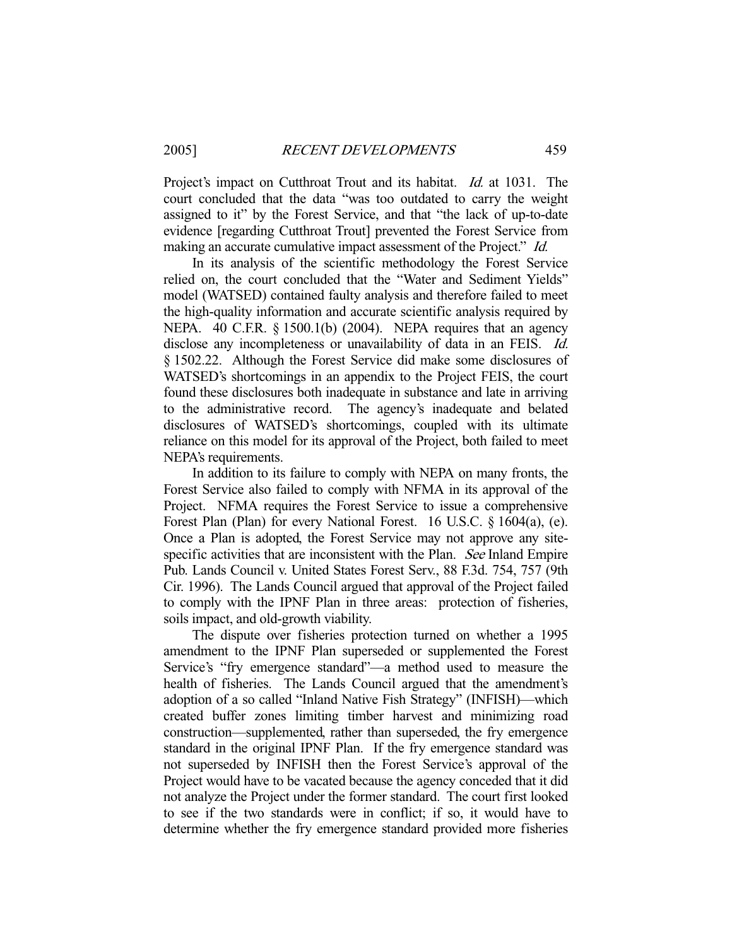Project's impact on Cutthroat Trout and its habitat. *Id.* at 1031. The court concluded that the data "was too outdated to carry the weight assigned to it" by the Forest Service, and that "the lack of up-to-date evidence [regarding Cutthroat Trout] prevented the Forest Service from making an accurate cumulative impact assessment of the Project." Id.

 In its analysis of the scientific methodology the Forest Service relied on, the court concluded that the "Water and Sediment Yields" model (WATSED) contained faulty analysis and therefore failed to meet the high-quality information and accurate scientific analysis required by NEPA. 40 C.F.R. § 1500.1(b) (2004). NEPA requires that an agency disclose any incompleteness or unavailability of data in an FEIS. *Id.* § 1502.22. Although the Forest Service did make some disclosures of WATSED's shortcomings in an appendix to the Project FEIS, the court found these disclosures both inadequate in substance and late in arriving to the administrative record. The agency's inadequate and belated disclosures of WATSED's shortcomings, coupled with its ultimate reliance on this model for its approval of the Project, both failed to meet NEPA's requirements.

 In addition to its failure to comply with NEPA on many fronts, the Forest Service also failed to comply with NFMA in its approval of the Project. NFMA requires the Forest Service to issue a comprehensive Forest Plan (Plan) for every National Forest. 16 U.S.C. § 1604(a), (e). Once a Plan is adopted, the Forest Service may not approve any sitespecific activities that are inconsistent with the Plan. See Inland Empire Pub. Lands Council v. United States Forest Serv., 88 F.3d. 754, 757 (9th Cir. 1996). The Lands Council argued that approval of the Project failed to comply with the IPNF Plan in three areas: protection of fisheries, soils impact, and old-growth viability.

 The dispute over fisheries protection turned on whether a 1995 amendment to the IPNF Plan superseded or supplemented the Forest Service's "fry emergence standard"—a method used to measure the health of fisheries. The Lands Council argued that the amendment's adoption of a so called "Inland Native Fish Strategy" (INFISH)—which created buffer zones limiting timber harvest and minimizing road construction—supplemented, rather than superseded, the fry emergence standard in the original IPNF Plan. If the fry emergence standard was not superseded by INFISH then the Forest Service's approval of the Project would have to be vacated because the agency conceded that it did not analyze the Project under the former standard. The court first looked to see if the two standards were in conflict; if so, it would have to determine whether the fry emergence standard provided more fisheries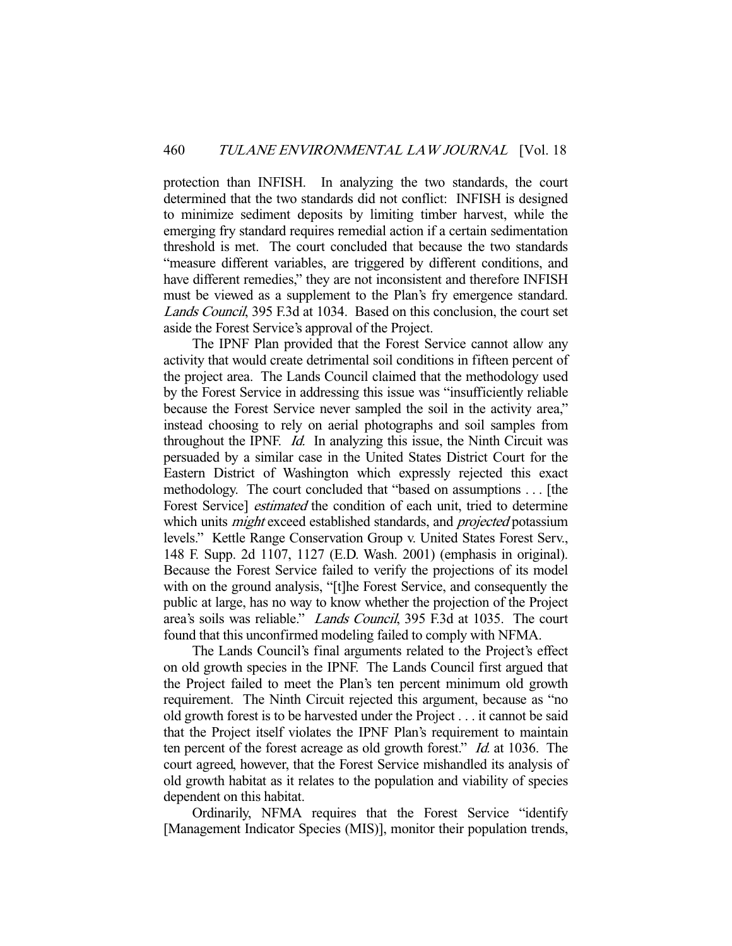protection than INFISH. In analyzing the two standards, the court determined that the two standards did not conflict: INFISH is designed to minimize sediment deposits by limiting timber harvest, while the emerging fry standard requires remedial action if a certain sedimentation threshold is met. The court concluded that because the two standards "measure different variables, are triggered by different conditions, and have different remedies," they are not inconsistent and therefore INFISH must be viewed as a supplement to the Plan's fry emergence standard. Lands Council, 395 F.3d at 1034. Based on this conclusion, the court set aside the Forest Service's approval of the Project.

 The IPNF Plan provided that the Forest Service cannot allow any activity that would create detrimental soil conditions in fifteen percent of the project area. The Lands Council claimed that the methodology used by the Forest Service in addressing this issue was "insufficiently reliable because the Forest Service never sampled the soil in the activity area," instead choosing to rely on aerial photographs and soil samples from throughout the IPNF. Id. In analyzing this issue, the Ninth Circuit was persuaded by a similar case in the United States District Court for the Eastern District of Washington which expressly rejected this exact methodology. The court concluded that "based on assumptions . . . [the Forest Service] *estimated* the condition of each unit, tried to determine which units *might* exceed established standards, and *projected* potassium levels." Kettle Range Conservation Group v. United States Forest Serv., 148 F. Supp. 2d 1107, 1127 (E.D. Wash. 2001) (emphasis in original). Because the Forest Service failed to verify the projections of its model with on the ground analysis, "[t]he Forest Service, and consequently the public at large, has no way to know whether the projection of the Project area's soils was reliable." Lands Council, 395 F.3d at 1035. The court found that this unconfirmed modeling failed to comply with NFMA.

 The Lands Council's final arguments related to the Project's effect on old growth species in the IPNF. The Lands Council first argued that the Project failed to meet the Plan's ten percent minimum old growth requirement. The Ninth Circuit rejected this argument, because as "no old growth forest is to be harvested under the Project . . . it cannot be said that the Project itself violates the IPNF Plan's requirement to maintain ten percent of the forest acreage as old growth forest." Id. at 1036. The court agreed, however, that the Forest Service mishandled its analysis of old growth habitat as it relates to the population and viability of species dependent on this habitat.

 Ordinarily, NFMA requires that the Forest Service "identify [Management Indicator Species (MIS)], monitor their population trends,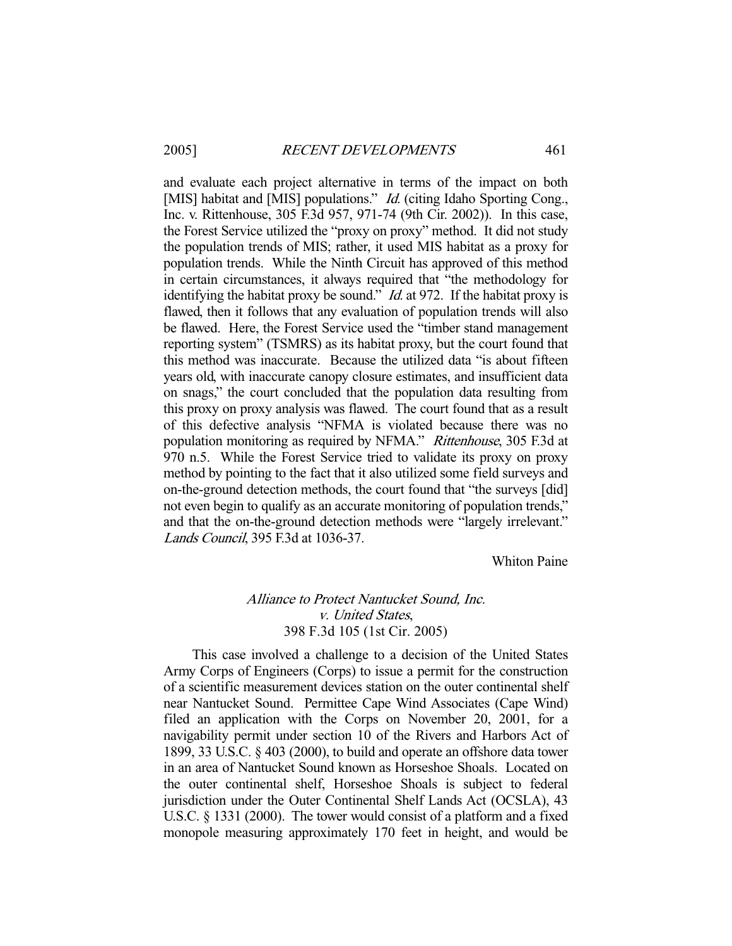and evaluate each project alternative in terms of the impact on both [MIS] habitat and [MIS] populations." *Id.* (citing Idaho Sporting Cong., Inc. v. Rittenhouse, 305 F.3d 957, 971-74 (9th Cir. 2002)). In this case, the Forest Service utilized the "proxy on proxy" method. It did not study the population trends of MIS; rather, it used MIS habitat as a proxy for population trends. While the Ninth Circuit has approved of this method in certain circumstances, it always required that "the methodology for identifying the habitat proxy be sound." *Id.* at 972. If the habitat proxy is flawed, then it follows that any evaluation of population trends will also be flawed. Here, the Forest Service used the "timber stand management reporting system" (TSMRS) as its habitat proxy, but the court found that this method was inaccurate. Because the utilized data "is about fifteen years old, with inaccurate canopy closure estimates, and insufficient data on snags," the court concluded that the population data resulting from this proxy on proxy analysis was flawed. The court found that as a result of this defective analysis "NFMA is violated because there was no population monitoring as required by NFMA." Rittenhouse, 305 F.3d at 970 n.5. While the Forest Service tried to validate its proxy on proxy method by pointing to the fact that it also utilized some field surveys and on-the-ground detection methods, the court found that "the surveys [did] not even begin to qualify as an accurate monitoring of population trends," and that the on-the-ground detection methods were "largely irrelevant." Lands Council, 395 F.3d at 1036-37.

Whiton Paine

# Alliance to Protect Nantucket Sound, Inc. v. United States, 398 F.3d 105 (1st Cir. 2005)

 This case involved a challenge to a decision of the United States Army Corps of Engineers (Corps) to issue a permit for the construction of a scientific measurement devices station on the outer continental shelf near Nantucket Sound. Permittee Cape Wind Associates (Cape Wind) filed an application with the Corps on November 20, 2001, for a navigability permit under section 10 of the Rivers and Harbors Act of 1899, 33 U.S.C. § 403 (2000), to build and operate an offshore data tower in an area of Nantucket Sound known as Horseshoe Shoals. Located on the outer continental shelf, Horseshoe Shoals is subject to federal jurisdiction under the Outer Continental Shelf Lands Act (OCSLA), 43 U.S.C. § 1331 (2000). The tower would consist of a platform and a fixed monopole measuring approximately 170 feet in height, and would be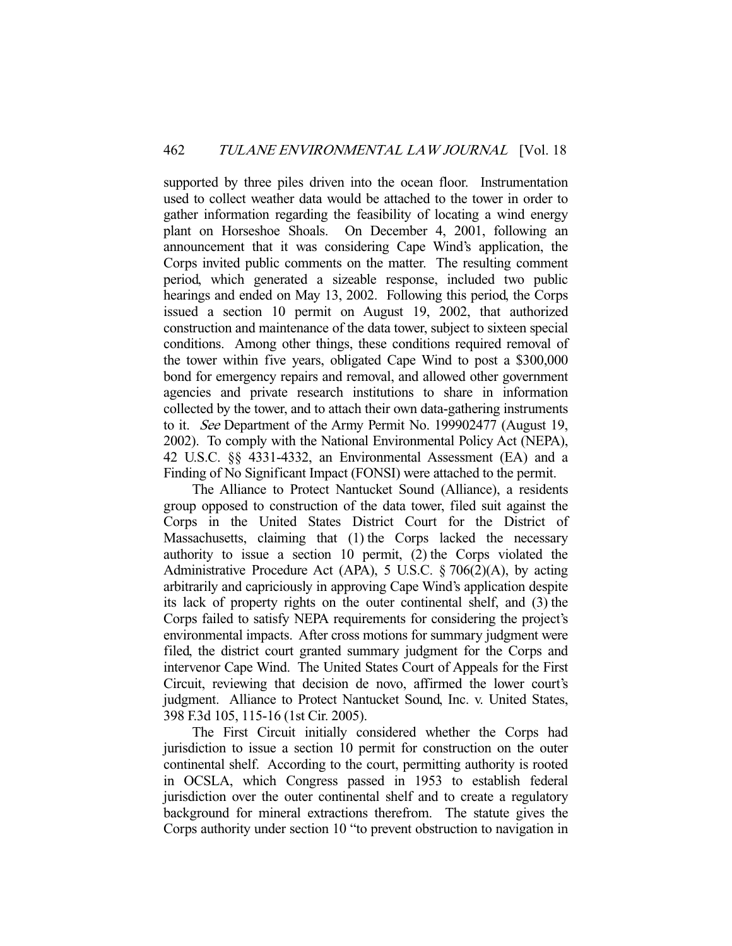supported by three piles driven into the ocean floor. Instrumentation used to collect weather data would be attached to the tower in order to gather information regarding the feasibility of locating a wind energy plant on Horseshoe Shoals. On December 4, 2001, following an announcement that it was considering Cape Wind's application, the Corps invited public comments on the matter. The resulting comment period, which generated a sizeable response, included two public hearings and ended on May 13, 2002. Following this period, the Corps issued a section 10 permit on August 19, 2002, that authorized construction and maintenance of the data tower, subject to sixteen special conditions. Among other things, these conditions required removal of the tower within five years, obligated Cape Wind to post a \$300,000 bond for emergency repairs and removal, and allowed other government agencies and private research institutions to share in information collected by the tower, and to attach their own data-gathering instruments to it. See Department of the Army Permit No. 199902477 (August 19, 2002). To comply with the National Environmental Policy Act (NEPA), 42 U.S.C. §§ 4331-4332, an Environmental Assessment (EA) and a Finding of No Significant Impact (FONSI) were attached to the permit.

 The Alliance to Protect Nantucket Sound (Alliance), a residents group opposed to construction of the data tower, filed suit against the Corps in the United States District Court for the District of Massachusetts, claiming that (1) the Corps lacked the necessary authority to issue a section 10 permit, (2) the Corps violated the Administrative Procedure Act (APA), 5 U.S.C. § 706(2)(A), by acting arbitrarily and capriciously in approving Cape Wind's application despite its lack of property rights on the outer continental shelf, and (3) the Corps failed to satisfy NEPA requirements for considering the project's environmental impacts. After cross motions for summary judgment were filed, the district court granted summary judgment for the Corps and intervenor Cape Wind. The United States Court of Appeals for the First Circuit, reviewing that decision de novo, affirmed the lower court's judgment. Alliance to Protect Nantucket Sound, Inc. v. United States, 398 F.3d 105, 115-16 (1st Cir. 2005).

 The First Circuit initially considered whether the Corps had jurisdiction to issue a section 10 permit for construction on the outer continental shelf. According to the court, permitting authority is rooted in OCSLA, which Congress passed in 1953 to establish federal jurisdiction over the outer continental shelf and to create a regulatory background for mineral extractions therefrom. The statute gives the Corps authority under section 10 "to prevent obstruction to navigation in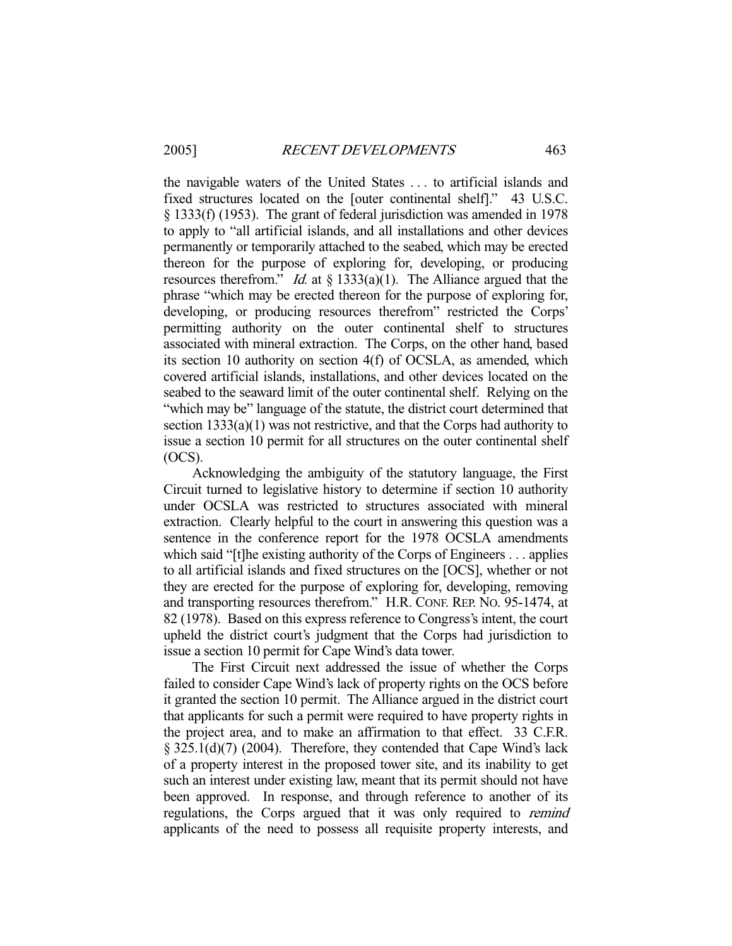the navigable waters of the United States . . . to artificial islands and fixed structures located on the [outer continental shelf]." 43 U.S.C. § 1333(f) (1953). The grant of federal jurisdiction was amended in 1978 to apply to "all artificial islands, and all installations and other devices permanently or temporarily attached to the seabed, which may be erected thereon for the purpose of exploring for, developing, or producing resources therefrom." *Id.* at  $\S$  1333(a)(1). The Alliance argued that the phrase "which may be erected thereon for the purpose of exploring for, developing, or producing resources therefrom" restricted the Corps' permitting authority on the outer continental shelf to structures associated with mineral extraction. The Corps, on the other hand, based its section 10 authority on section 4(f) of OCSLA, as amended, which covered artificial islands, installations, and other devices located on the seabed to the seaward limit of the outer continental shelf. Relying on the "which may be" language of the statute, the district court determined that section 1333(a)(1) was not restrictive, and that the Corps had authority to issue a section 10 permit for all structures on the outer continental shelf (OCS).

 Acknowledging the ambiguity of the statutory language, the First Circuit turned to legislative history to determine if section 10 authority under OCSLA was restricted to structures associated with mineral extraction. Clearly helpful to the court in answering this question was a sentence in the conference report for the 1978 OCSLA amendments which said "[t]he existing authority of the Corps of Engineers . . . applies to all artificial islands and fixed structures on the [OCS], whether or not they are erected for the purpose of exploring for, developing, removing and transporting resources therefrom." H.R. CONF. REP. NO. 95-1474, at 82 (1978). Based on this express reference to Congress's intent, the court upheld the district court's judgment that the Corps had jurisdiction to issue a section 10 permit for Cape Wind's data tower.

 The First Circuit next addressed the issue of whether the Corps failed to consider Cape Wind's lack of property rights on the OCS before it granted the section 10 permit. The Alliance argued in the district court that applicants for such a permit were required to have property rights in the project area, and to make an affirmation to that effect. 33 C.F.R. § 325.1(d)(7) (2004). Therefore, they contended that Cape Wind's lack of a property interest in the proposed tower site, and its inability to get such an interest under existing law, meant that its permit should not have been approved. In response, and through reference to another of its regulations, the Corps argued that it was only required to remind applicants of the need to possess all requisite property interests, and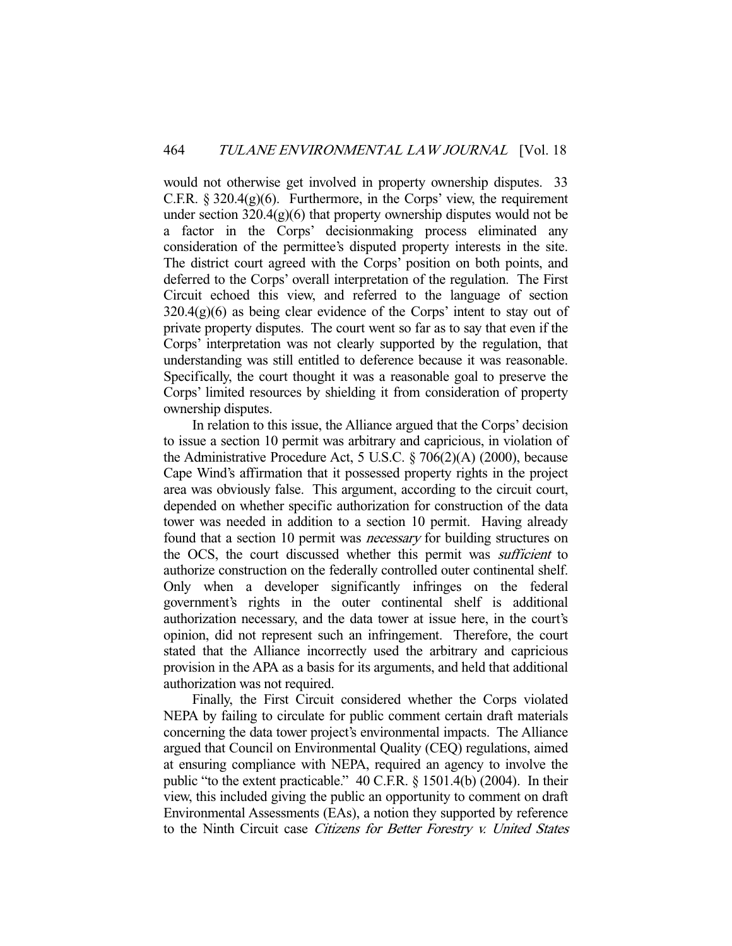would not otherwise get involved in property ownership disputes. 33 C.F.R.  $\S 320.4(g)(6)$ . Furthermore, in the Corps' view, the requirement under section  $320.4(g)(6)$  that property ownership disputes would not be a factor in the Corps' decisionmaking process eliminated any consideration of the permittee's disputed property interests in the site. The district court agreed with the Corps' position on both points, and deferred to the Corps' overall interpretation of the regulation. The First Circuit echoed this view, and referred to the language of section  $320.4(g)(6)$  as being clear evidence of the Corps' intent to stay out of private property disputes. The court went so far as to say that even if the Corps' interpretation was not clearly supported by the regulation, that understanding was still entitled to deference because it was reasonable. Specifically, the court thought it was a reasonable goal to preserve the Corps' limited resources by shielding it from consideration of property ownership disputes.

 In relation to this issue, the Alliance argued that the Corps' decision to issue a section 10 permit was arbitrary and capricious, in violation of the Administrative Procedure Act, 5 U.S.C. § 706(2)(A) (2000), because Cape Wind's affirmation that it possessed property rights in the project area was obviously false. This argument, according to the circuit court, depended on whether specific authorization for construction of the data tower was needed in addition to a section 10 permit. Having already found that a section 10 permit was necessary for building structures on the OCS, the court discussed whether this permit was *sufficient* to authorize construction on the federally controlled outer continental shelf. Only when a developer significantly infringes on the federal government's rights in the outer continental shelf is additional authorization necessary, and the data tower at issue here, in the court's opinion, did not represent such an infringement. Therefore, the court stated that the Alliance incorrectly used the arbitrary and capricious provision in the APA as a basis for its arguments, and held that additional authorization was not required.

 Finally, the First Circuit considered whether the Corps violated NEPA by failing to circulate for public comment certain draft materials concerning the data tower project's environmental impacts. The Alliance argued that Council on Environmental Quality (CEQ) regulations, aimed at ensuring compliance with NEPA, required an agency to involve the public "to the extent practicable." 40 C.F.R. § 1501.4(b) (2004). In their view, this included giving the public an opportunity to comment on draft Environmental Assessments (EAs), a notion they supported by reference to the Ninth Circuit case Citizens for Better Forestry v. United States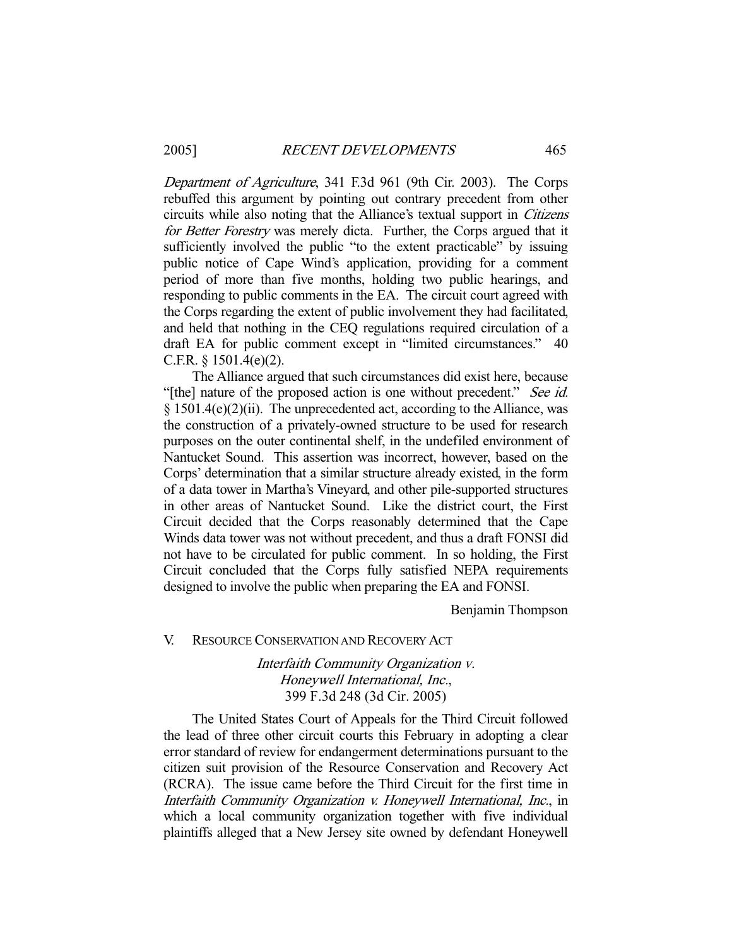Department of Agriculture, 341 F.3d 961 (9th Cir. 2003). The Corps rebuffed this argument by pointing out contrary precedent from other circuits while also noting that the Alliance's textual support in Citizens for Better Forestry was merely dicta. Further, the Corps argued that it sufficiently involved the public "to the extent practicable" by issuing public notice of Cape Wind's application, providing for a comment period of more than five months, holding two public hearings, and responding to public comments in the EA. The circuit court agreed with the Corps regarding the extent of public involvement they had facilitated, and held that nothing in the CEQ regulations required circulation of a draft EA for public comment except in "limited circumstances." 40 C.F.R. § 1501.4(e)(2).

 The Alliance argued that such circumstances did exist here, because "[the] nature of the proposed action is one without precedent." See id. § 1501.4(e)(2)(ii). The unprecedented act, according to the Alliance, was the construction of a privately-owned structure to be used for research purposes on the outer continental shelf, in the undefiled environment of Nantucket Sound. This assertion was incorrect, however, based on the Corps' determination that a similar structure already existed, in the form of a data tower in Martha's Vineyard, and other pile-supported structures in other areas of Nantucket Sound. Like the district court, the First Circuit decided that the Corps reasonably determined that the Cape Winds data tower was not without precedent, and thus a draft FONSI did not have to be circulated for public comment. In so holding, the First Circuit concluded that the Corps fully satisfied NEPA requirements designed to involve the public when preparing the EA and FONSI.

Benjamin Thompson

#### V. RESOURCE CONSERVATION AND RECOVERY ACT

Interfaith Community Organization v. Honeywell International, Inc., 399 F.3d 248 (3d Cir. 2005)

 The United States Court of Appeals for the Third Circuit followed the lead of three other circuit courts this February in adopting a clear error standard of review for endangerment determinations pursuant to the citizen suit provision of the Resource Conservation and Recovery Act (RCRA). The issue came before the Third Circuit for the first time in Interfaith Community Organization v. Honeywell International, Inc., in which a local community organization together with five individual plaintiffs alleged that a New Jersey site owned by defendant Honeywell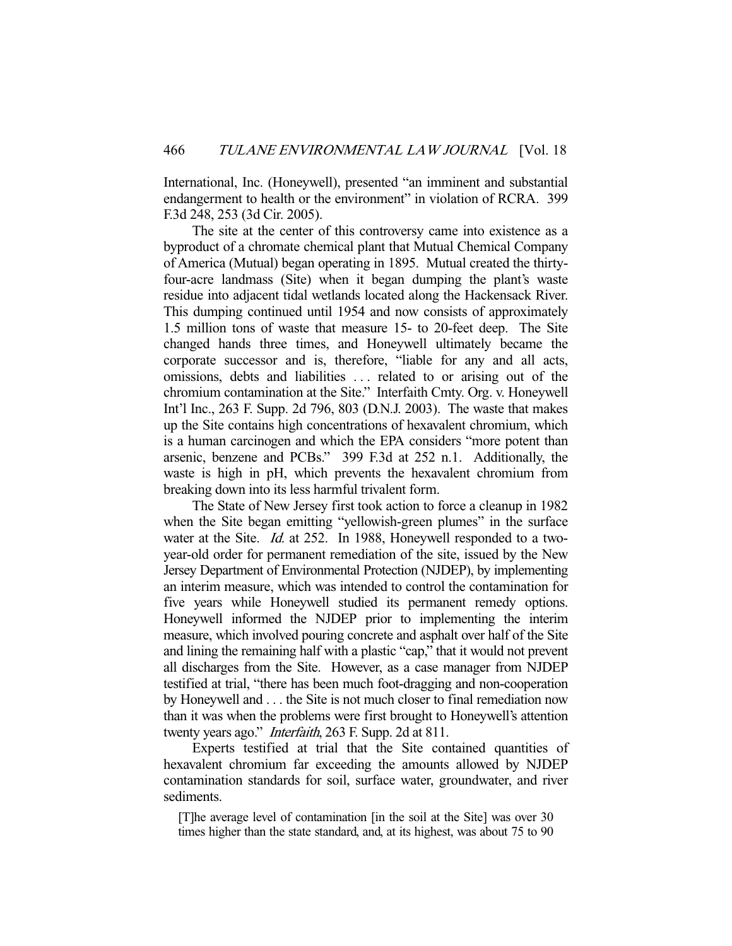International, Inc. (Honeywell), presented "an imminent and substantial endangerment to health or the environment" in violation of RCRA. 399 F.3d 248, 253 (3d Cir. 2005).

 The site at the center of this controversy came into existence as a byproduct of a chromate chemical plant that Mutual Chemical Company of America (Mutual) began operating in 1895. Mutual created the thirtyfour-acre landmass (Site) when it began dumping the plant's waste residue into adjacent tidal wetlands located along the Hackensack River. This dumping continued until 1954 and now consists of approximately 1.5 million tons of waste that measure 15- to 20-feet deep. The Site changed hands three times, and Honeywell ultimately became the corporate successor and is, therefore, "liable for any and all acts, omissions, debts and liabilities . . . related to or arising out of the chromium contamination at the Site." Interfaith Cmty. Org. v. Honeywell Int'l Inc., 263 F. Supp. 2d 796, 803 (D.N.J. 2003). The waste that makes up the Site contains high concentrations of hexavalent chromium, which is a human carcinogen and which the EPA considers "more potent than arsenic, benzene and PCBs." 399 F.3d at 252 n.1. Additionally, the waste is high in pH, which prevents the hexavalent chromium from breaking down into its less harmful trivalent form.

 The State of New Jersey first took action to force a cleanup in 1982 when the Site began emitting "yellowish-green plumes" in the surface water at the Site. *Id.* at 252. In 1988, Honeywell responded to a twoyear-old order for permanent remediation of the site, issued by the New Jersey Department of Environmental Protection (NJDEP), by implementing an interim measure, which was intended to control the contamination for five years while Honeywell studied its permanent remedy options. Honeywell informed the NJDEP prior to implementing the interim measure, which involved pouring concrete and asphalt over half of the Site and lining the remaining half with a plastic "cap," that it would not prevent all discharges from the Site. However, as a case manager from NJDEP testified at trial, "there has been much foot-dragging and non-cooperation by Honeywell and . . . the Site is not much closer to final remediation now than it was when the problems were first brought to Honeywell's attention twenty years ago." *Interfaith*, 263 F. Supp. 2d at 811.

 Experts testified at trial that the Site contained quantities of hexavalent chromium far exceeding the amounts allowed by NJDEP contamination standards for soil, surface water, groundwater, and river sediments.

[T]he average level of contamination [in the soil at the Site] was over 30 times higher than the state standard, and, at its highest, was about 75 to 90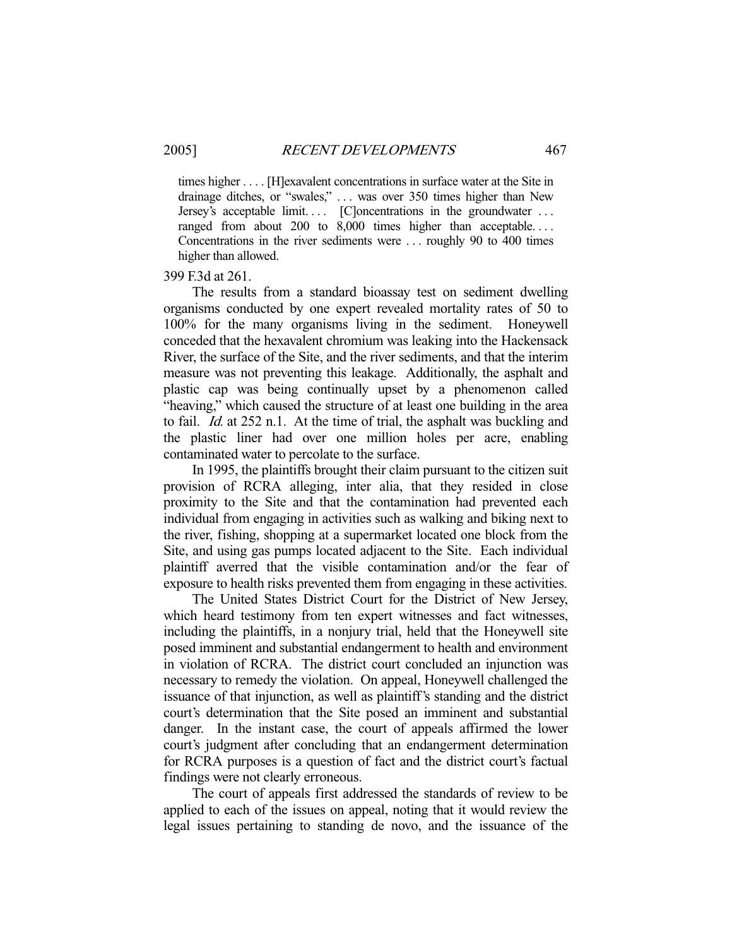times higher . . . . [H]exavalent concentrations in surface water at the Site in drainage ditches, or "swales," . . . was over 350 times higher than New Jersey's acceptable limit.... [C]oncentrations in the groundwater ... ranged from about 200 to 8,000 times higher than acceptable.... Concentrations in the river sediments were . . . roughly 90 to 400 times higher than allowed.

### 399 F.3d at 261.

 The results from a standard bioassay test on sediment dwelling organisms conducted by one expert revealed mortality rates of 50 to 100% for the many organisms living in the sediment. Honeywell conceded that the hexavalent chromium was leaking into the Hackensack River, the surface of the Site, and the river sediments, and that the interim measure was not preventing this leakage. Additionally, the asphalt and plastic cap was being continually upset by a phenomenon called "heaving," which caused the structure of at least one building in the area to fail. *Id.* at 252 n.1. At the time of trial, the asphalt was buckling and the plastic liner had over one million holes per acre, enabling contaminated water to percolate to the surface.

 In 1995, the plaintiffs brought their claim pursuant to the citizen suit provision of RCRA alleging, inter alia, that they resided in close proximity to the Site and that the contamination had prevented each individual from engaging in activities such as walking and biking next to the river, fishing, shopping at a supermarket located one block from the Site, and using gas pumps located adjacent to the Site. Each individual plaintiff averred that the visible contamination and/or the fear of exposure to health risks prevented them from engaging in these activities.

 The United States District Court for the District of New Jersey, which heard testimony from ten expert witnesses and fact witnesses, including the plaintiffs, in a nonjury trial, held that the Honeywell site posed imminent and substantial endangerment to health and environment in violation of RCRA. The district court concluded an injunction was necessary to remedy the violation. On appeal, Honeywell challenged the issuance of that injunction, as well as plaintiff's standing and the district court's determination that the Site posed an imminent and substantial danger. In the instant case, the court of appeals affirmed the lower court's judgment after concluding that an endangerment determination for RCRA purposes is a question of fact and the district court's factual findings were not clearly erroneous.

 The court of appeals first addressed the standards of review to be applied to each of the issues on appeal, noting that it would review the legal issues pertaining to standing de novo, and the issuance of the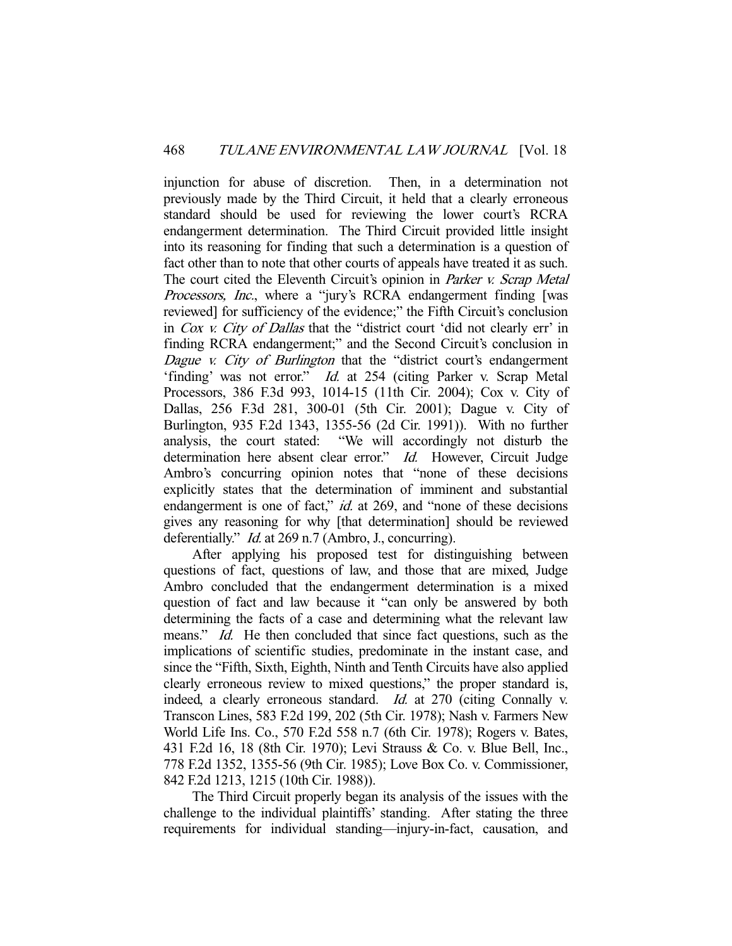injunction for abuse of discretion. Then, in a determination not previously made by the Third Circuit, it held that a clearly erroneous standard should be used for reviewing the lower court's RCRA endangerment determination. The Third Circuit provided little insight into its reasoning for finding that such a determination is a question of fact other than to note that other courts of appeals have treated it as such. The court cited the Eleventh Circuit's opinion in *Parker v. Scrap Metal* Processors, Inc., where a "jury's RCRA endangerment finding [was reviewed] for sufficiency of the evidence;" the Fifth Circuit's conclusion in Cox v. City of Dallas that the "district court 'did not clearly err' in finding RCRA endangerment;" and the Second Circuit's conclusion in Dague v. City of Burlington that the "district court's endangerment 'finding' was not error." Id. at 254 (citing Parker v. Scrap Metal Processors, 386 F.3d 993, 1014-15 (11th Cir. 2004); Cox v. City of Dallas, 256 F.3d 281, 300-01 (5th Cir. 2001); Dague v. City of Burlington, 935 F.2d 1343, 1355-56 (2d Cir. 1991)). With no further analysis, the court stated: "We will accordingly not disturb the determination here absent clear error." *Id.* However, Circuit Judge Ambro's concurring opinion notes that "none of these decisions explicitly states that the determination of imminent and substantial endangerment is one of fact," *id.* at 269, and "none of these decisions" gives any reasoning for why [that determination] should be reviewed deferentially." *Id.* at 269 n.7 (Ambro, J., concurring).

 After applying his proposed test for distinguishing between questions of fact, questions of law, and those that are mixed, Judge Ambro concluded that the endangerment determination is a mixed question of fact and law because it "can only be answered by both determining the facts of a case and determining what the relevant law means." *Id.* He then concluded that since fact questions, such as the implications of scientific studies, predominate in the instant case, and since the "Fifth, Sixth, Eighth, Ninth and Tenth Circuits have also applied clearly erroneous review to mixed questions," the proper standard is, indeed, a clearly erroneous standard. Id. at 270 (citing Connally v. Transcon Lines, 583 F.2d 199, 202 (5th Cir. 1978); Nash v. Farmers New World Life Ins. Co., 570 F.2d 558 n.7 (6th Cir. 1978); Rogers v. Bates, 431 F.2d 16, 18 (8th Cir. 1970); Levi Strauss & Co. v. Blue Bell, Inc., 778 F.2d 1352, 1355-56 (9th Cir. 1985); Love Box Co. v. Commissioner, 842 F.2d 1213, 1215 (10th Cir. 1988)).

 The Third Circuit properly began its analysis of the issues with the challenge to the individual plaintiffs' standing. After stating the three requirements for individual standing—injury-in-fact, causation, and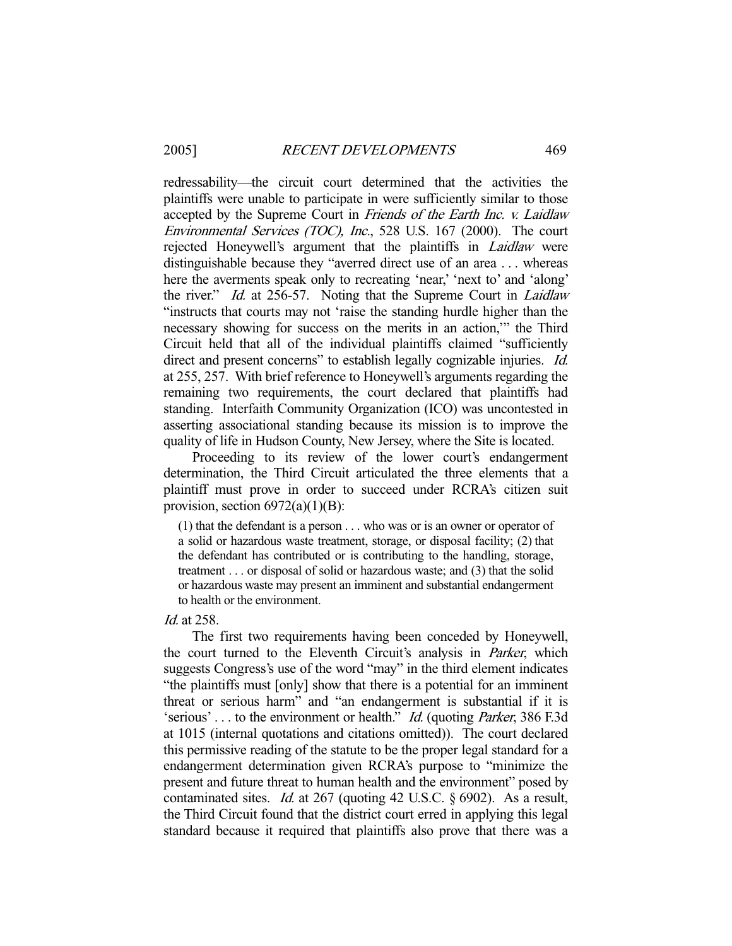redressability—the circuit court determined that the activities the plaintiffs were unable to participate in were sufficiently similar to those accepted by the Supreme Court in Friends of the Earth Inc. v. Laidlaw Environmental Services (TOC), Inc., 528 U.S. 167 (2000). The court rejected Honeywell's argument that the plaintiffs in *Laidlaw* were distinguishable because they "averred direct use of an area . . . whereas here the averments speak only to recreating 'near,' 'next to' and 'along' the river." Id. at 256-57. Noting that the Supreme Court in Laidlaw "instructs that courts may not 'raise the standing hurdle higher than the necessary showing for success on the merits in an action,'" the Third Circuit held that all of the individual plaintiffs claimed "sufficiently direct and present concerns" to establish legally cognizable injuries. *Id.* at 255, 257. With brief reference to Honeywell's arguments regarding the remaining two requirements, the court declared that plaintiffs had standing. Interfaith Community Organization (ICO) was uncontested in asserting associational standing because its mission is to improve the quality of life in Hudson County, New Jersey, where the Site is located.

 Proceeding to its review of the lower court's endangerment determination, the Third Circuit articulated the three elements that a plaintiff must prove in order to succeed under RCRA's citizen suit provision, section  $6972(a)(1)(B)$ :

(1) that the defendant is a person . . . who was or is an owner or operator of a solid or hazardous waste treatment, storage, or disposal facility; (2) that the defendant has contributed or is contributing to the handling, storage, treatment . . . or disposal of solid or hazardous waste; and (3) that the solid or hazardous waste may present an imminent and substantial endangerment to health or the environment.

Id. at 258.

 The first two requirements having been conceded by Honeywell, the court turned to the Eleventh Circuit's analysis in *Parker*, which suggests Congress's use of the word "may" in the third element indicates "the plaintiffs must [only] show that there is a potential for an imminent threat or serious harm" and "an endangerment is substantial if it is 'serious' ... to the environment or health." *Id.* (quoting *Parker*, 386 F.3d) at 1015 (internal quotations and citations omitted)). The court declared this permissive reading of the statute to be the proper legal standard for a endangerment determination given RCRA's purpose to "minimize the present and future threat to human health and the environment" posed by contaminated sites. Id. at 267 (quoting 42 U.S.C. § 6902). As a result, the Third Circuit found that the district court erred in applying this legal standard because it required that plaintiffs also prove that there was a